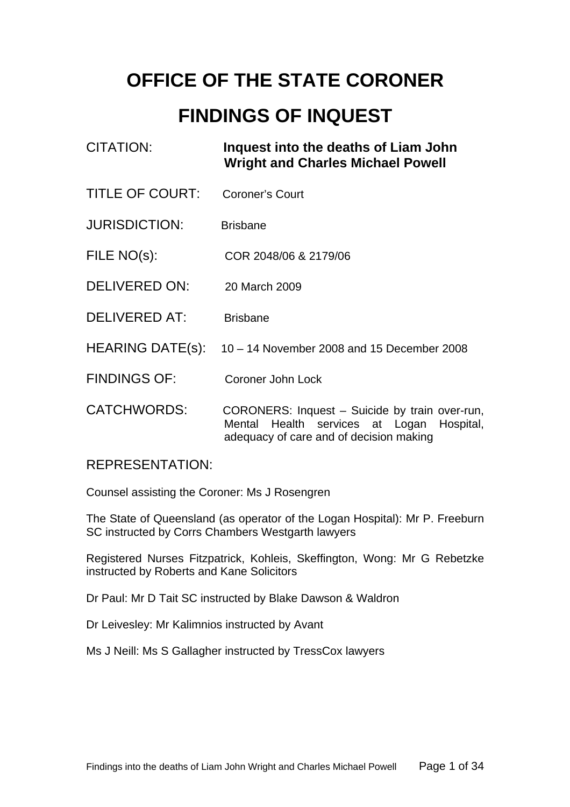# **OFFICE OF THE STATE CORONER**

# **FINDINGS OF INQUEST**

| <b>CITATION:</b>       | Inquest into the deaths of Liam John<br><b>Wright and Charles Michael Powell</b>                                                          |
|------------------------|-------------------------------------------------------------------------------------------------------------------------------------------|
| <b>TITLE OF COURT:</b> | <b>Coroner's Court</b>                                                                                                                    |
| <b>JURISDICTION:</b>   | <b>Brisbane</b>                                                                                                                           |
| FILE NO(s):            | COR 2048/06 & 2179/06                                                                                                                     |
| <b>DELIVERED ON:</b>   | 20 March 2009                                                                                                                             |
| <b>DELIVERED AT:</b>   | <b>Brisbane</b>                                                                                                                           |
| HEARING DATE(s):       | 10 – 14 November 2008 and 15 December 2008                                                                                                |
| <b>FINDINGS OF:</b>    | Coroner John Lock                                                                                                                         |
| CATCHWORDS:            | CORONERS: Inquest - Suicide by train over-run,<br>Mental Health services at Logan<br>Hospital,<br>adequacy of care and of decision making |

## REPRESENTATION:

Counsel assisting the Coroner: Ms J Rosengren

The State of Queensland (as operator of the Logan Hospital): Mr P. Freeburn SC instructed by Corrs Chambers Westgarth lawyers

Registered Nurses Fitzpatrick, Kohleis, Skeffington, Wong: Mr G Rebetzke instructed by Roberts and Kane Solicitors

Dr Paul: Mr D Tait SC instructed by Blake Dawson & Waldron

Dr Leivesley: Mr Kalimnios instructed by Avant

Ms J Neill: Ms S Gallagher instructed by TressCox lawyers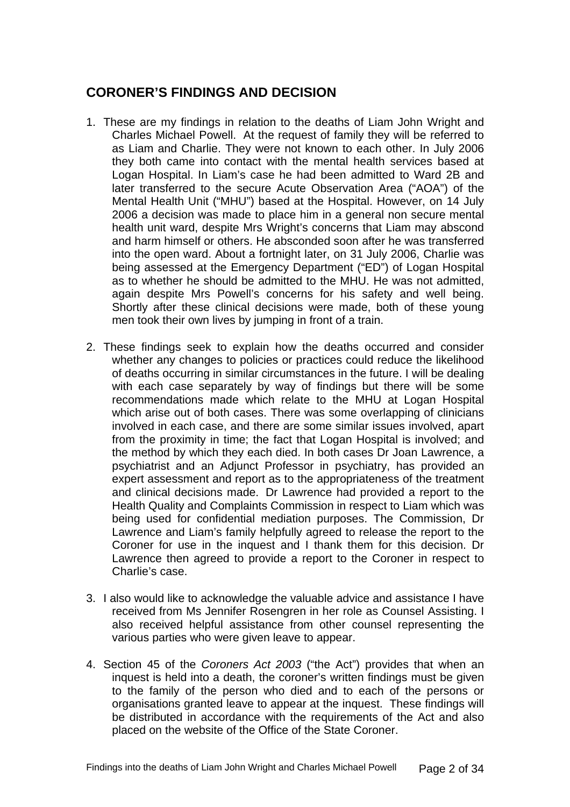# **CORONER'S FINDINGS AND DECISION**

- 1. These are my findings in relation to the deaths of Liam John Wright and Charles Michael Powell. At the request of family they will be referred to as Liam and Charlie. They were not known to each other. In July 2006 they both came into contact with the mental health services based at Logan Hospital. In Liam's case he had been admitted to Ward 2B and later transferred to the secure Acute Observation Area ("AOA") of the Mental Health Unit ("MHU") based at the Hospital. However, on 14 July 2006 a decision was made to place him in a general non secure mental health unit ward, despite Mrs Wright's concerns that Liam may abscond and harm himself or others. He absconded soon after he was transferred into the open ward. About a fortnight later, on 31 July 2006, Charlie was being assessed at the Emergency Department ("ED") of Logan Hospital as to whether he should be admitted to the MHU. He was not admitted, again despite Mrs Powell's concerns for his safety and well being. Shortly after these clinical decisions were made, both of these young men took their own lives by jumping in front of a train.
- 2. These findings seek to explain how the deaths occurred and consider whether any changes to policies or practices could reduce the likelihood of deaths occurring in similar circumstances in the future. I will be dealing with each case separately by way of findings but there will be some recommendations made which relate to the MHU at Logan Hospital which arise out of both cases. There was some overlapping of clinicians involved in each case, and there are some similar issues involved, apart from the proximity in time; the fact that Logan Hospital is involved; and the method by which they each died. In both cases Dr Joan Lawrence, a psychiatrist and an Adjunct Professor in psychiatry, has provided an expert assessment and report as to the appropriateness of the treatment and clinical decisions made. Dr Lawrence had provided a report to the Health Quality and Complaints Commission in respect to Liam which was being used for confidential mediation purposes. The Commission, Dr Lawrence and Liam's family helpfully agreed to release the report to the Coroner for use in the inquest and I thank them for this decision. Dr Lawrence then agreed to provide a report to the Coroner in respect to Charlie's case.
- 3. I also would like to acknowledge the valuable advice and assistance I have received from Ms Jennifer Rosengren in her role as Counsel Assisting. I also received helpful assistance from other counsel representing the various parties who were given leave to appear.
- 4. Section 45 of the *Coroners Act 2003* ("the Act") provides that when an inquest is held into a death, the coroner's written findings must be given to the family of the person who died and to each of the persons or organisations granted leave to appear at the inquest. These findings will be distributed in accordance with the requirements of the Act and also placed on the website of the Office of the State Coroner.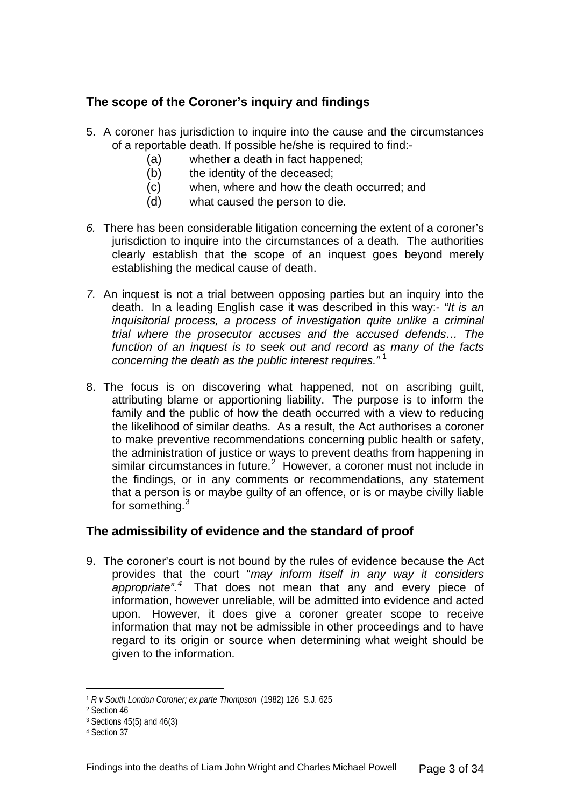# **The scope of the Coroner's inquiry and findings**

- 5. A coroner has jurisdiction to inquire into the cause and the circumstances of a reportable death. If possible he/she is required to find:-
	- (a) whether a death in fact happened;
	- (b) the identity of the deceased;
	- (c) when, where and how the death occurred; and
	- (d) what caused the person to die.
- *6.* There has been considerable litigation concerning the extent of a coroner's jurisdiction to inquire into the circumstances of a death. The authorities clearly establish that the scope of an inquest goes beyond merely establishing the medical cause of death.
- *7.* An inquest is not a trial between opposing parties but an inquiry into the death. In a leading English case it was described in this way:- *"It is an inquisitorial process, a process of investigation quite unlike a criminal trial where the prosecutor accuses and the accused defends… The function of an inquest is to seek out and record as many of the facts concerning the death as the public interest requires."* [1](#page-2-0)
- 8. The focus is on discovering what happened, not on ascribing guilt, attributing blame or apportioning liability. The purpose is to inform the family and the public of how the death occurred with a view to reducing the likelihood of similar deaths. As a result, the Act authorises a coroner to make preventive recommendations concerning public health or safety, the administration of justice or ways to prevent deaths from happening in similar circumstances in future.<sup>[2](#page-2-1)</sup> However, a coroner must not include in the findings, or in any comments or recommendations, any statement that a person is or maybe guilty of an offence, or is or maybe civilly liable for something.[3](#page-2-2)

## **The admissibility of evidence and the standard of proof**

9. The coroner's court is not bound by the rules of evidence because the Act provides that the court "*may inform itself in any way it considers appropriate".[4](#page-2-3)* That does not mean that any and every piece of information, however unreliable, will be admitted into evidence and acted upon. However, it does give a coroner greater scope to receive information that may not be admissible in other proceedings and to have regard to its origin or source when determining what weight should be given to the information.

<span id="page-2-0"></span><sup>1</sup> *R v South London Coroner; ex parte Thompson* (1982) 126 S.J. 625

<span id="page-2-1"></span><sup>2</sup> Section 46

<span id="page-2-2"></span><sup>3</sup> Sections 45(5) and 46(3)

<span id="page-2-3"></span><sup>4</sup> Section 37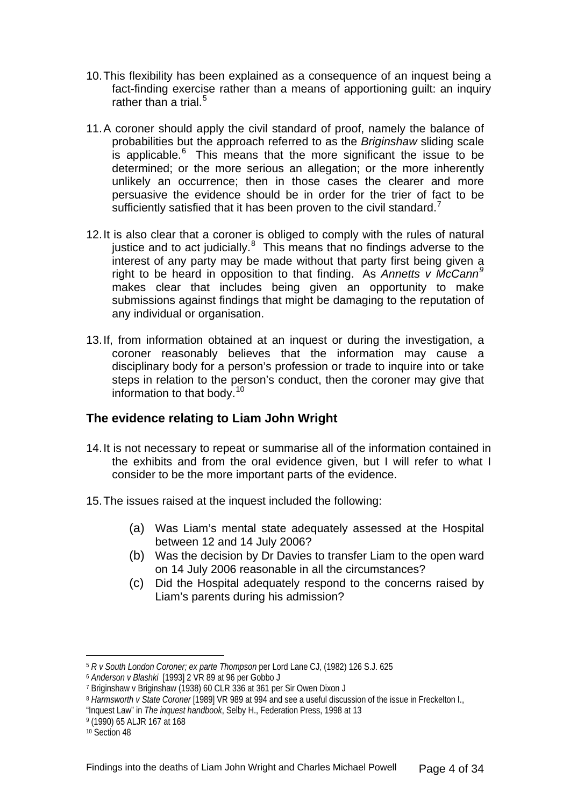- 10. This flexibility has been explained as a consequence of an inquest being a fact-finding exercise rather than a means of apportioning guilt: an inquiry rather than a trial. $5$
- 11. A coroner should apply the civil standard of proof, namely the balance of probabilities but the approach referred to as the *Briginshaw* sliding scale is applicable. $6$  This means that the more significant the issue to be determined; or the more serious an allegation; or the more inherently unlikely an occurrence; then in those cases the clearer and more persuasive the evidence should be in order for the trier of fact to be sufficiently satisfied that it has been proven to the civil standard.<sup>[7](#page-3-2)</sup>
- 12. It is also clear that a coroner is obliged to comply with the rules of natural justice and to act judicially. $8$  This means that no findings adverse to the interest of any party may be made without that party first being given a right to be heard in opposition to that finding. As *Annetts v McCann[9](#page-3-4)* makes clear that includes being given an opportunity to make submissions against findings that might be damaging to the reputation of any individual or organisation.
- 13. If, from information obtained at an inquest or during the investigation, a coroner reasonably believes that the information may cause a disciplinary body for a person's profession or trade to inquire into or take steps in relation to the person's conduct, then the coroner may give that information to that body.<sup>[10](#page-3-5)</sup>

## **The evidence relating to Liam John Wright**

- 14. It is not necessary to repeat or summarise all of the information contained in the exhibits and from the oral evidence given, but I will refer to what I consider to be the more important parts of the evidence.
- 15. The issues raised at the inquest included the following:
	- (a) Was Liam's mental state adequately assessed at the Hospital between 12 and 14 July 2006?
	- (b) Was the decision by Dr Davies to transfer Liam to the open ward on 14 July 2006 reasonable in all the circumstances?
	- (c) Did the Hospital adequately respond to the concerns raised by Liam's parents during his admission?

<span id="page-3-0"></span><sup>5</sup> *R v South London Coroner; ex parte Thompson* per Lord Lane CJ, (1982) 126 S.J. 625

<span id="page-3-1"></span><sup>6</sup> *Anderson v Blashki* [1993] 2 VR 89 at 96 per Gobbo J

<span id="page-3-2"></span><sup>7</sup> Briginshaw v Briginshaw (1938) 60 CLR 336 at 361 per Sir Owen Dixon J

<span id="page-3-3"></span><sup>8</sup> *Harmsworth v State Coroner* [1989] VR 989 at 994 and see a useful discussion of the issue in Freckelton I.,

<sup>&</sup>quot;Inquest Law" in *The inquest handbook*, Selby H., Federation Press, 1998 at 13

<span id="page-3-4"></span><sup>9 (1990) 65</sup> ALJR 167 at 168

<span id="page-3-5"></span><sup>10</sup> Section 48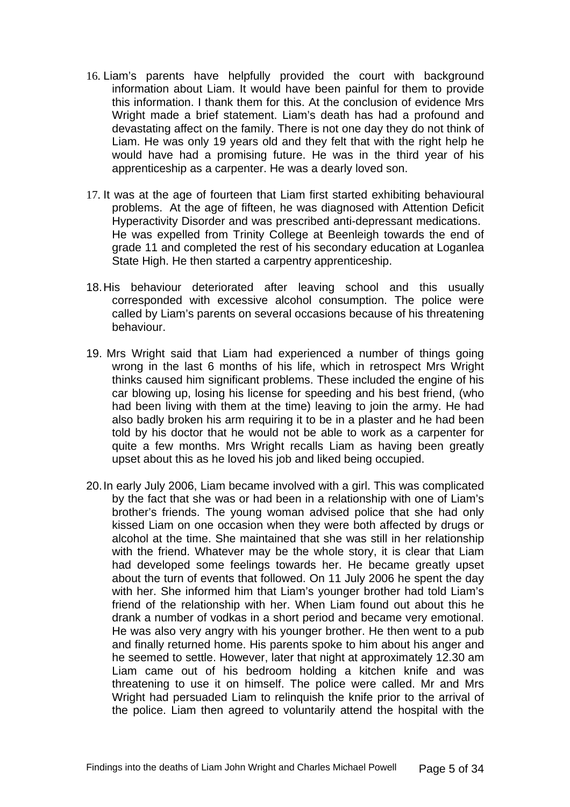- 16. Liam's parents have helpfully provided the court with background information about Liam. It would have been painful for them to provide this information. I thank them for this. At the conclusion of evidence Mrs Wright made a brief statement. Liam's death has had a profound and devastating affect on the family. There is not one day they do not think of Liam. He was only 19 years old and they felt that with the right help he would have had a promising future. He was in the third year of his apprenticeship as a carpenter. He was a dearly loved son.
- 17. It was at the age of fourteen that Liam first started exhibiting behavioural problems. At the age of fifteen, he was diagnosed with Attention Deficit Hyperactivity Disorder and was prescribed anti-depressant medications. He was expelled from Trinity College at Beenleigh towards the end of grade 11 and completed the rest of his secondary education at Loganlea State High. He then started a carpentry apprenticeship.
- 18. His behaviour deteriorated after leaving school and this usually corresponded with excessive alcohol consumption. The police were called by Liam's parents on several occasions because of his threatening behaviour.
- 19. Mrs Wright said that Liam had experienced a number of things going wrong in the last 6 months of his life, which in retrospect Mrs Wright thinks caused him significant problems. These included the engine of his car blowing up, losing his license for speeding and his best friend, (who had been living with them at the time) leaving to join the army. He had also badly broken his arm requiring it to be in a plaster and he had been told by his doctor that he would not be able to work as a carpenter for quite a few months. Mrs Wright recalls Liam as having been greatly upset about this as he loved his job and liked being occupied.
- 20. In early July 2006, Liam became involved with a girl. This was complicated by the fact that she was or had been in a relationship with one of Liam's brother's friends. The young woman advised police that she had only kissed Liam on one occasion when they were both affected by drugs or alcohol at the time. She maintained that she was still in her relationship with the friend. Whatever may be the whole story, it is clear that Liam had developed some feelings towards her. He became greatly upset about the turn of events that followed. On 11 July 2006 he spent the day with her. She informed him that Liam's younger brother had told Liam's friend of the relationship with her. When Liam found out about this he drank a number of vodkas in a short period and became very emotional. He was also very angry with his younger brother. He then went to a pub and finally returned home. His parents spoke to him about his anger and he seemed to settle. However, later that night at approximately 12.30 am Liam came out of his bedroom holding a kitchen knife and was threatening to use it on himself. The police were called. Mr and Mrs Wright had persuaded Liam to relinquish the knife prior to the arrival of the police. Liam then agreed to voluntarily attend the hospital with the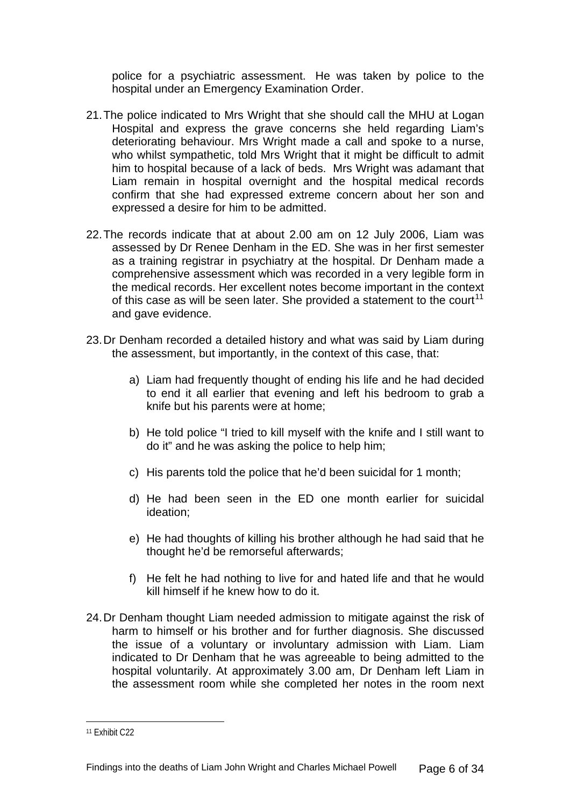police for a psychiatric assessment. He was taken by police to the hospital under an Emergency Examination Order.

- 21. The police indicated to Mrs Wright that she should call the MHU at Logan Hospital and express the grave concerns she held regarding Liam's deteriorating behaviour. Mrs Wright made a call and spoke to a nurse, who whilst sympathetic, told Mrs Wright that it might be difficult to admit him to hospital because of a lack of beds. Mrs Wright was adamant that Liam remain in hospital overnight and the hospital medical records confirm that she had expressed extreme concern about her son and expressed a desire for him to be admitted.
- 22. The records indicate that at about 2.00 am on 12 July 2006, Liam was assessed by Dr Renee Denham in the ED. She was in her first semester as a training registrar in psychiatry at the hospital. Dr Denham made a comprehensive assessment which was recorded in a very legible form in the medical records. Her excellent notes become important in the context of this case as will be seen later. She provided a statement to the court<sup>[11](#page-5-0)</sup> and gave evidence.
- 23. Dr Denham recorded a detailed history and what was said by Liam during the assessment, but importantly, in the context of this case, that:
	- a) Liam had frequently thought of ending his life and he had decided to end it all earlier that evening and left his bedroom to grab a knife but his parents were at home;
	- b) He told police "I tried to kill myself with the knife and I still want to do it" and he was asking the police to help him;
	- c) His parents told the police that he'd been suicidal for 1 month;
	- d) He had been seen in the ED one month earlier for suicidal ideation;
	- e) He had thoughts of killing his brother although he had said that he thought he'd be remorseful afterwards;
	- f) He felt he had nothing to live for and hated life and that he would kill himself if he knew how to do it.
- 24. Dr Denham thought Liam needed admission to mitigate against the risk of harm to himself or his brother and for further diagnosis. She discussed the issue of a voluntary or involuntary admission with Liam. Liam indicated to Dr Denham that he was agreeable to being admitted to the hospital voluntarily. At approximately 3.00 am, Dr Denham left Liam in the assessment room while she completed her notes in the room next

<span id="page-5-0"></span><sup>11</sup> Exhibit C22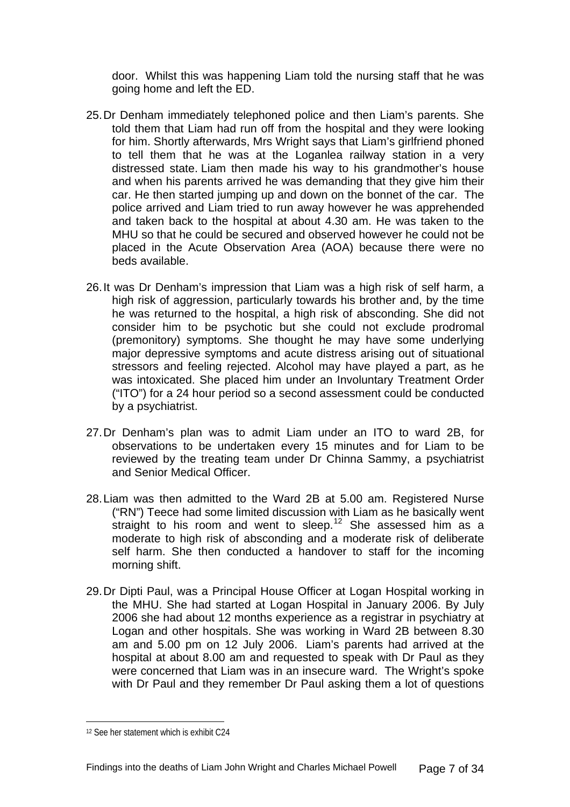door. Whilst this was happening Liam told the nursing staff that he was going home and left the ED.

- 25. Dr Denham immediately telephoned police and then Liam's parents. She told them that Liam had run off from the hospital and they were looking for him. Shortly afterwards, Mrs Wright says that Liam's girlfriend phoned to tell them that he was at the Loganlea railway station in a very distressed state. Liam then made his way to his grandmother's house and when his parents arrived he was demanding that they give him their car. He then started jumping up and down on the bonnet of the car. The police arrived and Liam tried to run away however he was apprehended and taken back to the hospital at about 4.30 am. He was taken to the MHU so that he could be secured and observed however he could not be placed in the Acute Observation Area (AOA) because there were no beds available.
- 26. It was Dr Denham's impression that Liam was a high risk of self harm, a high risk of aggression, particularly towards his brother and, by the time he was returned to the hospital, a high risk of absconding. She did not consider him to be psychotic but she could not exclude prodromal (premonitory) symptoms. She thought he may have some underlying major depressive symptoms and acute distress arising out of situational stressors and feeling rejected. Alcohol may have played a part, as he was intoxicated. She placed him under an Involuntary Treatment Order ("ITO") for a 24 hour period so a second assessment could be conducted by a psychiatrist.
- 27. Dr Denham's plan was to admit Liam under an ITO to ward 2B, for observations to be undertaken every 15 minutes and for Liam to be reviewed by the treating team under Dr Chinna Sammy, a psychiatrist and Senior Medical Officer.
- 28. Liam was then admitted to the Ward 2B at 5.00 am. Registered Nurse ("RN") Teece had some limited discussion with Liam as he basically went straight to his room and went to sleep.<sup>[12](#page-6-0)</sup> She assessed him as a moderate to high risk of absconding and a moderate risk of deliberate self harm. She then conducted a handover to staff for the incoming morning shift.
- 29. Dr Dipti Paul, was a Principal House Officer at Logan Hospital working in the MHU. She had started at Logan Hospital in January 2006. By July 2006 she had about 12 months experience as a registrar in psychiatry at Logan and other hospitals. She was working in Ward 2B between 8.30 am and 5.00 pm on 12 July 2006. Liam's parents had arrived at the hospital at about 8.00 am and requested to speak with Dr Paul as they were concerned that Liam was in an insecure ward. The Wright's spoke with Dr Paul and they remember Dr Paul asking them a lot of questions

<span id="page-6-0"></span><sup>12</sup> See her statement which is exhibit C24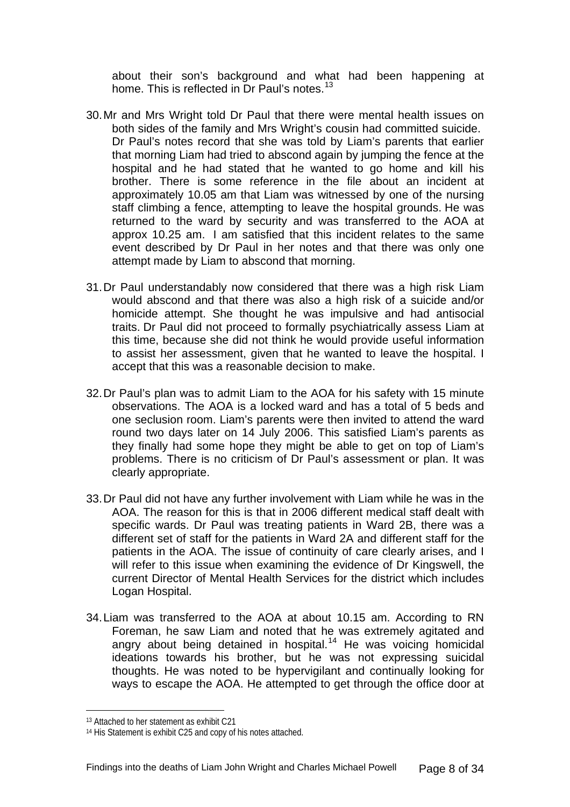about their son's background and what had been happening at home. This is reflected in Dr Paul's notes.<sup>[13](#page-7-0)</sup>

- 30. Mr and Mrs Wright told Dr Paul that there were mental health issues on both sides of the family and Mrs Wright's cousin had committed suicide. Dr Paul's notes record that she was told by Liam's parents that earlier that morning Liam had tried to abscond again by jumping the fence at the hospital and he had stated that he wanted to go home and kill his brother. There is some reference in the file about an incident at approximately 10.05 am that Liam was witnessed by one of the nursing staff climbing a fence, attempting to leave the hospital grounds. He was returned to the ward by security and was transferred to the AOA at approx 10.25 am. I am satisfied that this incident relates to the same event described by Dr Paul in her notes and that there was only one attempt made by Liam to abscond that morning.
- 31. Dr Paul understandably now considered that there was a high risk Liam would abscond and that there was also a high risk of a suicide and/or homicide attempt. She thought he was impulsive and had antisocial traits. Dr Paul did not proceed to formally psychiatrically assess Liam at this time, because she did not think he would provide useful information to assist her assessment, given that he wanted to leave the hospital. I accept that this was a reasonable decision to make.
- 32. Dr Paul's plan was to admit Liam to the AOA for his safety with 15 minute observations. The AOA is a locked ward and has a total of 5 beds and one seclusion room. Liam's parents were then invited to attend the ward round two days later on 14 July 2006. This satisfied Liam's parents as they finally had some hope they might be able to get on top of Liam's problems. There is no criticism of Dr Paul's assessment or plan. It was clearly appropriate.
- 33. Dr Paul did not have any further involvement with Liam while he was in the AOA. The reason for this is that in 2006 different medical staff dealt with specific wards. Dr Paul was treating patients in Ward 2B, there was a different set of staff for the patients in Ward 2A and different staff for the patients in the AOA. The issue of continuity of care clearly arises, and I will refer to this issue when examining the evidence of Dr Kingswell, the current Director of Mental Health Services for the district which includes Logan Hospital.
- 34. Liam was transferred to the AOA at about 10.15 am. According to RN Foreman, he saw Liam and noted that he was extremely agitated and angry about being detained in hospital.<sup>[14](#page-7-1)</sup> He was voicing homicidal ideations towards his brother, but he was not expressing suicidal thoughts. He was noted to be hypervigilant and continually looking for ways to escape the AOA. He attempted to get through the office door at

<sup>13</sup> Attached to her statement as exhibit C21

<span id="page-7-1"></span><span id="page-7-0"></span><sup>14</sup> His Statement is exhibit C25 and copy of his notes attached.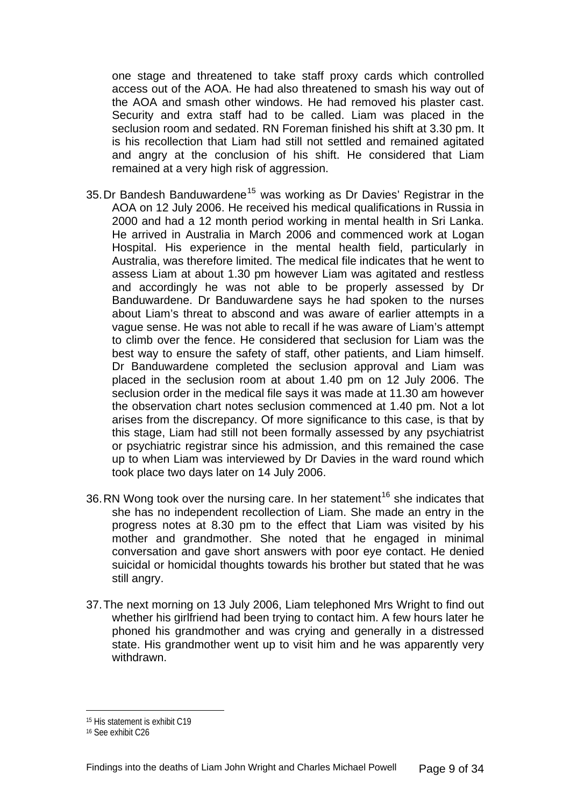one stage and threatened to take staff proxy cards which controlled access out of the AOA. He had also threatened to smash his way out of the AOA and smash other windows. He had removed his plaster cast. Security and extra staff had to be called. Liam was placed in the seclusion room and sedated. RN Foreman finished his shift at 3.30 pm. It is his recollection that Liam had still not settled and remained agitated and angry at the conclusion of his shift. He considered that Liam remained at a very high risk of aggression.

- 35. Dr Bandesh Banduwardene<sup>[15](#page-8-0)</sup> was working as Dr Davies' Registrar in the AOA on 12 July 2006. He received his medical qualifications in Russia in 2000 and had a 12 month period working in mental health in Sri Lanka. He arrived in Australia in March 2006 and commenced work at Logan Hospital. His experience in the mental health field, particularly in Australia, was therefore limited. The medical file indicates that he went to assess Liam at about 1.30 pm however Liam was agitated and restless and accordingly he was not able to be properly assessed by Dr Banduwardene. Dr Banduwardene says he had spoken to the nurses about Liam's threat to abscond and was aware of earlier attempts in a vague sense. He was not able to recall if he was aware of Liam's attempt to climb over the fence. He considered that seclusion for Liam was the best way to ensure the safety of staff, other patients, and Liam himself. Dr Banduwardene completed the seclusion approval and Liam was placed in the seclusion room at about 1.40 pm on 12 July 2006. The seclusion order in the medical file says it was made at 11.30 am however the observation chart notes seclusion commenced at 1.40 pm. Not a lot arises from the discrepancy. Of more significance to this case, is that by this stage, Liam had still not been formally assessed by any psychiatrist or psychiatric registrar since his admission, and this remained the case up to when Liam was interviewed by Dr Davies in the ward round which took place two days later on 14 July 2006.
- 36. RN Wong took over the nursing care. In her statement<sup>[16](#page-8-1)</sup> she indicates that she has no independent recollection of Liam. She made an entry in the progress notes at 8.30 pm to the effect that Liam was visited by his mother and grandmother. She noted that he engaged in minimal conversation and gave short answers with poor eye contact. He denied suicidal or homicidal thoughts towards his brother but stated that he was still angry.
- 37. The next morning on 13 July 2006, Liam telephoned Mrs Wright to find out whether his girlfriend had been trying to contact him. A few hours later he phoned his grandmother and was crying and generally in a distressed state. His grandmother went up to visit him and he was apparently very withdrawn.

<span id="page-8-0"></span><sup>15</sup> His statement is exhibit C19

<span id="page-8-1"></span><sup>16</sup> See exhibit C26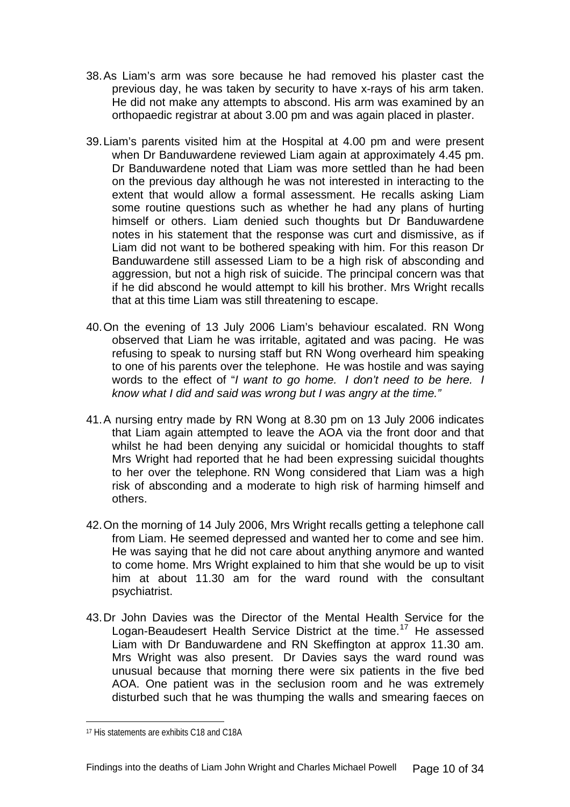- 38. As Liam's arm was sore because he had removed his plaster cast the previous day, he was taken by security to have x-rays of his arm taken. He did not make any attempts to abscond. His arm was examined by an orthopaedic registrar at about 3.00 pm and was again placed in plaster.
- 39. Liam's parents visited him at the Hospital at 4.00 pm and were present when Dr Banduwardene reviewed Liam again at approximately 4.45 pm. Dr Banduwardene noted that Liam was more settled than he had been on the previous day although he was not interested in interacting to the extent that would allow a formal assessment. He recalls asking Liam some routine questions such as whether he had any plans of hurting himself or others. Liam denied such thoughts but Dr Banduwardene notes in his statement that the response was curt and dismissive, as if Liam did not want to be bothered speaking with him. For this reason Dr Banduwardene still assessed Liam to be a high risk of absconding and aggression, but not a high risk of suicide. The principal concern was that if he did abscond he would attempt to kill his brother. Mrs Wright recalls that at this time Liam was still threatening to escape.
- 40. On the evening of 13 July 2006 Liam's behaviour escalated. RN Wong observed that Liam he was irritable, agitated and was pacing. He was refusing to speak to nursing staff but RN Wong overheard him speaking to one of his parents over the telephone. He was hostile and was saying words to the effect of "*I want to go home. I don't need to be here. I know what I did and said was wrong but I was angry at the time."*
- 41. A nursing entry made by RN Wong at 8.30 pm on 13 July 2006 indicates that Liam again attempted to leave the AOA via the front door and that whilst he had been denying any suicidal or homicidal thoughts to staff Mrs Wright had reported that he had been expressing suicidal thoughts to her over the telephone. RN Wong considered that Liam was a high risk of absconding and a moderate to high risk of harming himself and others.
- 42. On the morning of 14 July 2006, Mrs Wright recalls getting a telephone call from Liam. He seemed depressed and wanted her to come and see him. He was saying that he did not care about anything anymore and wanted to come home. Mrs Wright explained to him that she would be up to visit him at about 11.30 am for the ward round with the consultant psychiatrist.
- 43. Dr John Davies was the Director of the Mental Health Service for the Logan-Beaudesert Health Service District at the time.[17](#page-9-0) He assessed Liam with Dr Banduwardene and RN Skeffington at approx 11.30 am. Mrs Wright was also present. Dr Davies says the ward round was unusual because that morning there were six patients in the five bed AOA. One patient was in the seclusion room and he was extremely disturbed such that he was thumping the walls and smearing faeces on

<span id="page-9-0"></span><sup>17</sup> His statements are exhibits C18 and C18A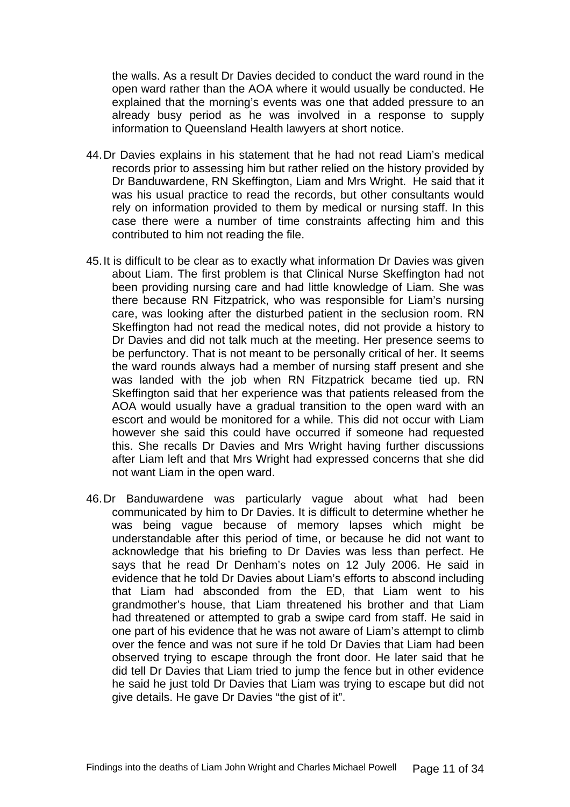the walls. As a result Dr Davies decided to conduct the ward round in the open ward rather than the AOA where it would usually be conducted. He explained that the morning's events was one that added pressure to an already busy period as he was involved in a response to supply information to Queensland Health lawyers at short notice.

- 44. Dr Davies explains in his statement that he had not read Liam's medical records prior to assessing him but rather relied on the history provided by Dr Banduwardene, RN Skeffington, Liam and Mrs Wright. He said that it was his usual practice to read the records, but other consultants would rely on information provided to them by medical or nursing staff. In this case there were a number of time constraints affecting him and this contributed to him not reading the file.
- 45. It is difficult to be clear as to exactly what information Dr Davies was given about Liam. The first problem is that Clinical Nurse Skeffington had not been providing nursing care and had little knowledge of Liam. She was there because RN Fitzpatrick, who was responsible for Liam's nursing care, was looking after the disturbed patient in the seclusion room. RN Skeffington had not read the medical notes, did not provide a history to Dr Davies and did not talk much at the meeting. Her presence seems to be perfunctory. That is not meant to be personally critical of her. It seems the ward rounds always had a member of nursing staff present and she was landed with the job when RN Fitzpatrick became tied up. RN Skeffington said that her experience was that patients released from the AOA would usually have a gradual transition to the open ward with an escort and would be monitored for a while. This did not occur with Liam however she said this could have occurred if someone had requested this. She recalls Dr Davies and Mrs Wright having further discussions after Liam left and that Mrs Wright had expressed concerns that she did not want Liam in the open ward.
- 46. Dr Banduwardene was particularly vague about what had been communicated by him to Dr Davies. It is difficult to determine whether he was being vague because of memory lapses which might be understandable after this period of time, or because he did not want to acknowledge that his briefing to Dr Davies was less than perfect. He says that he read Dr Denham's notes on 12 July 2006. He said in evidence that he told Dr Davies about Liam's efforts to abscond including that Liam had absconded from the ED, that Liam went to his grandmother's house, that Liam threatened his brother and that Liam had threatened or attempted to grab a swipe card from staff. He said in one part of his evidence that he was not aware of Liam's attempt to climb over the fence and was not sure if he told Dr Davies that Liam had been observed trying to escape through the front door. He later said that he did tell Dr Davies that Liam tried to jump the fence but in other evidence he said he just told Dr Davies that Liam was trying to escape but did not give details. He gave Dr Davies "the gist of it".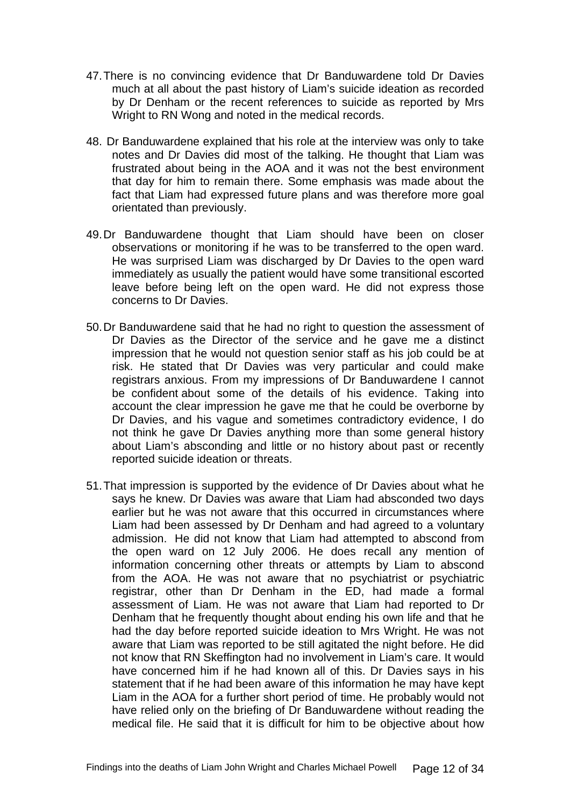- 47. There is no convincing evidence that Dr Banduwardene told Dr Davies much at all about the past history of Liam's suicide ideation as recorded by Dr Denham or the recent references to suicide as reported by Mrs Wright to RN Wong and noted in the medical records.
- 48. Dr Banduwardene explained that his role at the interview was only to take notes and Dr Davies did most of the talking. He thought that Liam was frustrated about being in the AOA and it was not the best environment that day for him to remain there. Some emphasis was made about the fact that Liam had expressed future plans and was therefore more goal orientated than previously.
- 49. Dr Banduwardene thought that Liam should have been on closer observations or monitoring if he was to be transferred to the open ward. He was surprised Liam was discharged by Dr Davies to the open ward immediately as usually the patient would have some transitional escorted leave before being left on the open ward. He did not express those concerns to Dr Davies.
- 50. Dr Banduwardene said that he had no right to question the assessment of Dr Davies as the Director of the service and he gave me a distinct impression that he would not question senior staff as his job could be at risk. He stated that Dr Davies was very particular and could make registrars anxious. From my impressions of Dr Banduwardene I cannot be confident about some of the details of his evidence. Taking into account the clear impression he gave me that he could be overborne by Dr Davies, and his vague and sometimes contradictory evidence, I do not think he gave Dr Davies anything more than some general history about Liam's absconding and little or no history about past or recently reported suicide ideation or threats.
- 51. That impression is supported by the evidence of Dr Davies about what he says he knew. Dr Davies was aware that Liam had absconded two days earlier but he was not aware that this occurred in circumstances where Liam had been assessed by Dr Denham and had agreed to a voluntary admission. He did not know that Liam had attempted to abscond from the open ward on 12 July 2006. He does recall any mention of information concerning other threats or attempts by Liam to abscond from the AOA. He was not aware that no psychiatrist or psychiatric registrar, other than Dr Denham in the ED, had made a formal assessment of Liam. He was not aware that Liam had reported to Dr Denham that he frequently thought about ending his own life and that he had the day before reported suicide ideation to Mrs Wright. He was not aware that Liam was reported to be still agitated the night before. He did not know that RN Skeffington had no involvement in Liam's care. It would have concerned him if he had known all of this. Dr Davies says in his statement that if he had been aware of this information he may have kept Liam in the AOA for a further short period of time. He probably would not have relied only on the briefing of Dr Banduwardene without reading the medical file. He said that it is difficult for him to be objective about how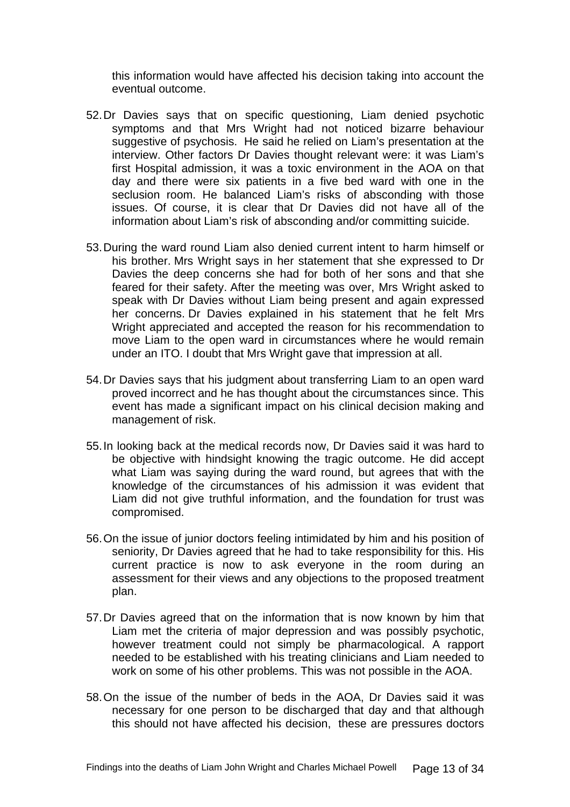this information would have affected his decision taking into account the eventual outcome.

- 52. Dr Davies says that on specific questioning, Liam denied psychotic symptoms and that Mrs Wright had not noticed bizarre behaviour suggestive of psychosis. He said he relied on Liam's presentation at the interview. Other factors Dr Davies thought relevant were: it was Liam's first Hospital admission, it was a toxic environment in the AOA on that day and there were six patients in a five bed ward with one in the seclusion room. He balanced Liam's risks of absconding with those issues. Of course, it is clear that Dr Davies did not have all of the information about Liam's risk of absconding and/or committing suicide.
- 53. During the ward round Liam also denied current intent to harm himself or his brother. Mrs Wright says in her statement that she expressed to Dr Davies the deep concerns she had for both of her sons and that she feared for their safety. After the meeting was over, Mrs Wright asked to speak with Dr Davies without Liam being present and again expressed her concerns. Dr Davies explained in his statement that he felt Mrs Wright appreciated and accepted the reason for his recommendation to move Liam to the open ward in circumstances where he would remain under an ITO. I doubt that Mrs Wright gave that impression at all.
- 54. Dr Davies says that his judgment about transferring Liam to an open ward proved incorrect and he has thought about the circumstances since. This event has made a significant impact on his clinical decision making and management of risk.
- 55. In looking back at the medical records now, Dr Davies said it was hard to be objective with hindsight knowing the tragic outcome. He did accept what Liam was saying during the ward round, but agrees that with the knowledge of the circumstances of his admission it was evident that Liam did not give truthful information, and the foundation for trust was compromised.
- 56. On the issue of junior doctors feeling intimidated by him and his position of seniority, Dr Davies agreed that he had to take responsibility for this. His current practice is now to ask everyone in the room during an assessment for their views and any objections to the proposed treatment plan.
- 57. Dr Davies agreed that on the information that is now known by him that Liam met the criteria of major depression and was possibly psychotic, however treatment could not simply be pharmacological. A rapport needed to be established with his treating clinicians and Liam needed to work on some of his other problems. This was not possible in the AOA.
- 58. On the issue of the number of beds in the AOA, Dr Davies said it was necessary for one person to be discharged that day and that although this should not have affected his decision, these are pressures doctors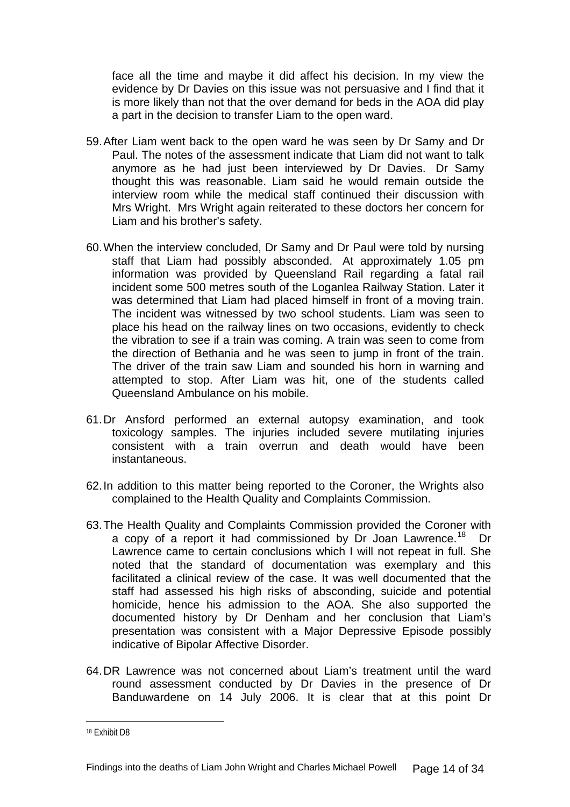face all the time and maybe it did affect his decision. In my view the evidence by Dr Davies on this issue was not persuasive and I find that it is more likely than not that the over demand for beds in the AOA did play a part in the decision to transfer Liam to the open ward.

- 59. After Liam went back to the open ward he was seen by Dr Samy and Dr Paul. The notes of the assessment indicate that Liam did not want to talk anymore as he had just been interviewed by Dr Davies. Dr Samy thought this was reasonable. Liam said he would remain outside the interview room while the medical staff continued their discussion with Mrs Wright. Mrs Wright again reiterated to these doctors her concern for Liam and his brother's safety.
- 60. When the interview concluded, Dr Samy and Dr Paul were told by nursing staff that Liam had possibly absconded. At approximately 1.05 pm information was provided by Queensland Rail regarding a fatal rail incident some 500 metres south of the Loganlea Railway Station. Later it was determined that Liam had placed himself in front of a moving train. The incident was witnessed by two school students. Liam was seen to place his head on the railway lines on two occasions, evidently to check the vibration to see if a train was coming. A train was seen to come from the direction of Bethania and he was seen to jump in front of the train. The driver of the train saw Liam and sounded his horn in warning and attempted to stop. After Liam was hit, one of the students called Queensland Ambulance on his mobile.
- 61. Dr Ansford performed an external autopsy examination, and took toxicology samples. The injuries included severe mutilating injuries consistent with a train overrun and death would have been instantaneous.
- 62. In addition to this matter being reported to the Coroner, the Wrights also complained to the Health Quality and Complaints Commission.
- 63. The Health Quality and Complaints Commission provided the Coroner with a copy of a report it had commissioned by Dr Joan Lawrence.<sup>[18](#page-13-0)</sup> Dr Lawrence came to certain conclusions which I will not repeat in full. She noted that the standard of documentation was exemplary and this facilitated a clinical review of the case. It was well documented that the staff had assessed his high risks of absconding, suicide and potential homicide, hence his admission to the AOA. She also supported the documented history by Dr Denham and her conclusion that Liam's presentation was consistent with a Major Depressive Episode possibly indicative of Bipolar Affective Disorder.
- 64. DR Lawrence was not concerned about Liam's treatment until the ward round assessment conducted by Dr Davies in the presence of Dr Banduwardene on 14 July 2006. It is clear that at this point Dr

<span id="page-13-0"></span><sup>18</sup> Exhibit D8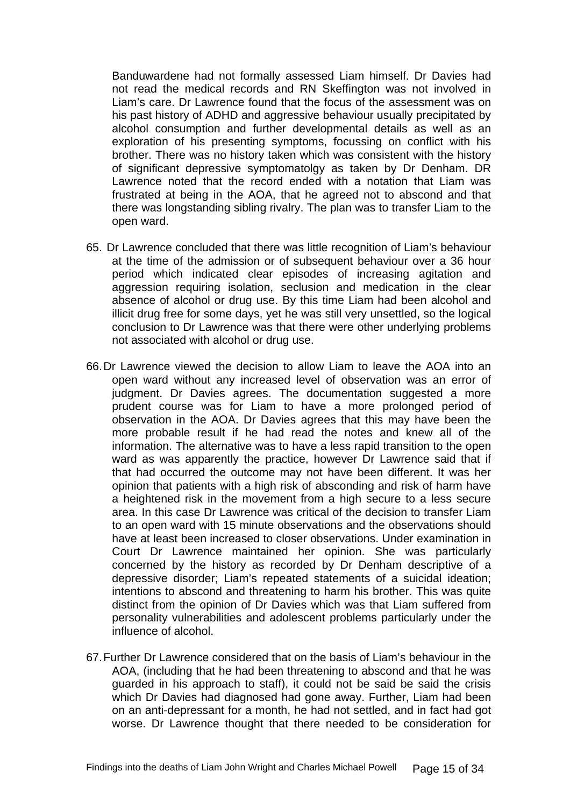Banduwardene had not formally assessed Liam himself. Dr Davies had not read the medical records and RN Skeffington was not involved in Liam's care. Dr Lawrence found that the focus of the assessment was on his past history of ADHD and aggressive behaviour usually precipitated by alcohol consumption and further developmental details as well as an exploration of his presenting symptoms, focussing on conflict with his brother. There was no history taken which was consistent with the history of significant depressive symptomatolgy as taken by Dr Denham. DR Lawrence noted that the record ended with a notation that Liam was frustrated at being in the AOA, that he agreed not to abscond and that there was longstanding sibling rivalry. The plan was to transfer Liam to the open ward.

- 65. Dr Lawrence concluded that there was little recognition of Liam's behaviour at the time of the admission or of subsequent behaviour over a 36 hour period which indicated clear episodes of increasing agitation and aggression requiring isolation, seclusion and medication in the clear absence of alcohol or drug use. By this time Liam had been alcohol and illicit drug free for some days, yet he was still very unsettled, so the logical conclusion to Dr Lawrence was that there were other underlying problems not associated with alcohol or drug use.
- 66. Dr Lawrence viewed the decision to allow Liam to leave the AOA into an open ward without any increased level of observation was an error of judgment. Dr Davies agrees. The documentation suggested a more prudent course was for Liam to have a more prolonged period of observation in the AOA. Dr Davies agrees that this may have been the more probable result if he had read the notes and knew all of the information. The alternative was to have a less rapid transition to the open ward as was apparently the practice, however Dr Lawrence said that if that had occurred the outcome may not have been different. It was her opinion that patients with a high risk of absconding and risk of harm have a heightened risk in the movement from a high secure to a less secure area. In this case Dr Lawrence was critical of the decision to transfer Liam to an open ward with 15 minute observations and the observations should have at least been increased to closer observations. Under examination in Court Dr Lawrence maintained her opinion. She was particularly concerned by the history as recorded by Dr Denham descriptive of a depressive disorder; Liam's repeated statements of a suicidal ideation; intentions to abscond and threatening to harm his brother. This was quite distinct from the opinion of Dr Davies which was that Liam suffered from personality vulnerabilities and adolescent problems particularly under the influence of alcohol.
- 67. Further Dr Lawrence considered that on the basis of Liam's behaviour in the AOA, (including that he had been threatening to abscond and that he was guarded in his approach to staff), it could not be said be said the crisis which Dr Davies had diagnosed had gone away. Further, Liam had been on an anti-depressant for a month, he had not settled, and in fact had got worse. Dr Lawrence thought that there needed to be consideration for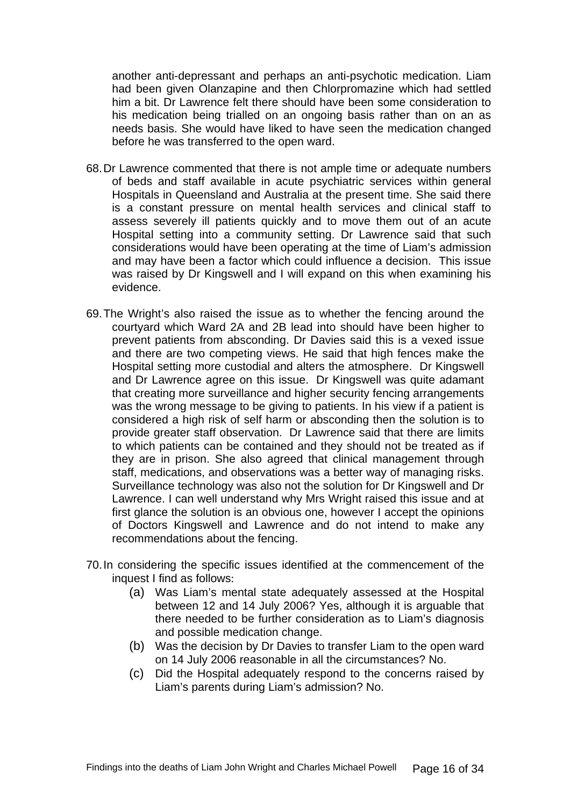another anti-depressant and perhaps an anti-psychotic medication. Liam had been given Olanzapine and then Chlorpromazine which had settled him a bit. Dr Lawrence felt there should have been some consideration to his medication being trialled on an ongoing basis rather than on an as needs basis. She would have liked to have seen the medication changed before he was transferred to the open ward.

- 68. Dr Lawrence commented that there is not ample time or adequate numbers of beds and staff available in acute psychiatric services within general Hospitals in Queensland and Australia at the present time. She said there is a constant pressure on mental health services and clinical staff to assess severely ill patients quickly and to move them out of an acute Hospital setting into a community setting. Dr Lawrence said that such considerations would have been operating at the time of Liam's admission and may have been a factor which could influence a decision. This issue was raised by Dr Kingswell and I will expand on this when examining his evidence.
- 69. The Wright's also raised the issue as to whether the fencing around the courtyard which Ward 2A and 2B lead into should have been higher to prevent patients from absconding. Dr Davies said this is a vexed issue and there are two competing views. He said that high fences make the Hospital setting more custodial and alters the atmosphere. Dr Kingswell and Dr Lawrence agree on this issue. Dr Kingswell was quite adamant that creating more surveillance and higher security fencing arrangements was the wrong message to be giving to patients. In his view if a patient is considered a high risk of self harm or absconding then the solution is to provide greater staff observation. Dr Lawrence said that there are limits to which patients can be contained and they should not be treated as if they are in prison. She also agreed that clinical management through staff, medications, and observations was a better way of managing risks. Surveillance technology was also not the solution for Dr Kingswell and Dr Lawrence. I can well understand why Mrs Wright raised this issue and at first glance the solution is an obvious one, however I accept the opinions of Doctors Kingswell and Lawrence and do not intend to make any recommendations about the fencing.
- 70. In considering the specific issues identified at the commencement of the inquest I find as follows:
	- (a) Was Liam's mental state adequately assessed at the Hospital between 12 and 14 July 2006? Yes, although it is arguable that there needed to be further consideration as to Liam's diagnosis and possible medication change.
	- (b) Was the decision by Dr Davies to transfer Liam to the open ward on 14 July 2006 reasonable in all the circumstances? No.
	- (c) Did the Hospital adequately respond to the concerns raised by Liam's parents during Liam's admission? No.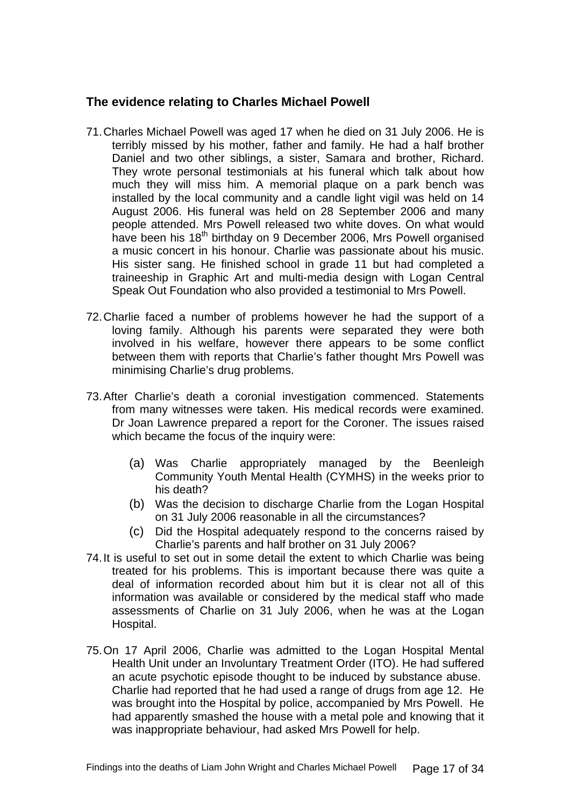#### **The evidence relating to Charles Michael Powell**

- 71. Charles Michael Powell was aged 17 when he died on 31 July 2006. He is terribly missed by his mother, father and family. He had a half brother Daniel and two other siblings, a sister, Samara and brother, Richard. They wrote personal testimonials at his funeral which talk about how much they will miss him. A memorial plaque on a park bench was installed by the local community and a candle light vigil was held on 14 August 2006. His funeral was held on 28 September 2006 and many people attended. Mrs Powell released two white doves. On what would have been his 18<sup>th</sup> birthday on 9 December 2006, Mrs Powell organised a music concert in his honour. Charlie was passionate about his music. His sister sang. He finished school in grade 11 but had completed a traineeship in Graphic Art and multi-media design with Logan Central Speak Out Foundation who also provided a testimonial to Mrs Powell.
- 72. Charlie faced a number of problems however he had the support of a loving family. Although his parents were separated they were both involved in his welfare, however there appears to be some conflict between them with reports that Charlie's father thought Mrs Powell was minimising Charlie's drug problems.
- 73. After Charlie's death a coronial investigation commenced. Statements from many witnesses were taken. His medical records were examined. Dr Joan Lawrence prepared a report for the Coroner. The issues raised which became the focus of the inquiry were:
	- (a) Was Charlie appropriately managed by the Beenleigh Community Youth Mental Health (CYMHS) in the weeks prior to his death?
	- (b) Was the decision to discharge Charlie from the Logan Hospital on 31 July 2006 reasonable in all the circumstances?
	- (c) Did the Hospital adequately respond to the concerns raised by Charlie's parents and half brother on 31 July 2006?
- 74. It is useful to set out in some detail the extent to which Charlie was being treated for his problems. This is important because there was quite a deal of information recorded about him but it is clear not all of this information was available or considered by the medical staff who made assessments of Charlie on 31 July 2006, when he was at the Logan Hospital.
- 75. On 17 April 2006, Charlie was admitted to the Logan Hospital Mental Health Unit under an Involuntary Treatment Order (ITO). He had suffered an acute psychotic episode thought to be induced by substance abuse. Charlie had reported that he had used a range of drugs from age 12. He was brought into the Hospital by police, accompanied by Mrs Powell. He had apparently smashed the house with a metal pole and knowing that it was inappropriate behaviour, had asked Mrs Powell for help.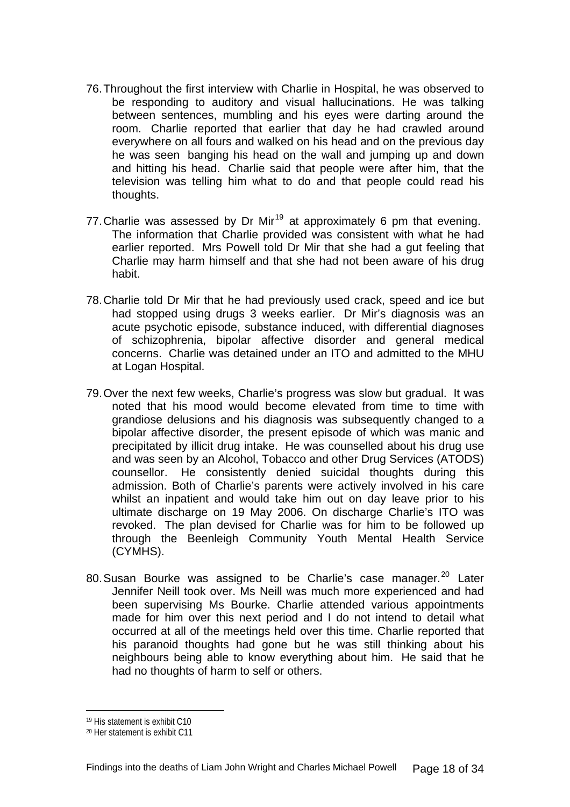- 76. Throughout the first interview with Charlie in Hospital, he was observed to be responding to auditory and visual hallucinations. He was talking between sentences, mumbling and his eyes were darting around the room. Charlie reported that earlier that day he had crawled around everywhere on all fours and walked on his head and on the previous day he was seen banging his head on the wall and jumping up and down and hitting his head. Charlie said that people were after him, that the television was telling him what to do and that people could read his thoughts.
- 77. Charlie was assessed by Dr Mir<sup>[19](#page-17-0)</sup> at approximately 6 pm that evening. The information that Charlie provided was consistent with what he had earlier reported. Mrs Powell told Dr Mir that she had a gut feeling that Charlie may harm himself and that she had not been aware of his drug habit.
- 78. Charlie told Dr Mir that he had previously used crack, speed and ice but had stopped using drugs 3 weeks earlier. Dr Mir's diagnosis was an acute psychotic episode, substance induced, with differential diagnoses of schizophrenia, bipolar affective disorder and general medical concerns. Charlie was detained under an ITO and admitted to the MHU at Logan Hospital.
- 79. Over the next few weeks, Charlie's progress was slow but gradual. It was noted that his mood would become elevated from time to time with grandiose delusions and his diagnosis was subsequently changed to a bipolar affective disorder, the present episode of which was manic and precipitated by illicit drug intake. He was counselled about his drug use and was seen by an Alcohol, Tobacco and other Drug Services (ATODS) counsellor. He consistently denied suicidal thoughts during this admission. Both of Charlie's parents were actively involved in his care whilst an inpatient and would take him out on day leave prior to his ultimate discharge on 19 May 2006. On discharge Charlie's ITO was revoked. The plan devised for Charlie was for him to be followed up through the Beenleigh Community Youth Mental Health Service (CYMHS).
- 80. Susan Bourke was assigned to be Charlie's case manager. $^{20}$  $^{20}$  $^{20}$  Later Jennifer Neill took over. Ms Neill was much more experienced and had been supervising Ms Bourke. Charlie attended various appointments made for him over this next period and I do not intend to detail what occurred at all of the meetings held over this time. Charlie reported that his paranoid thoughts had gone but he was still thinking about his neighbours being able to know everything about him. He said that he had no thoughts of harm to self or others.

<sup>19</sup> His statement is exhibit C10

<span id="page-17-1"></span><span id="page-17-0"></span><sup>20</sup> Her statement is exhibit C11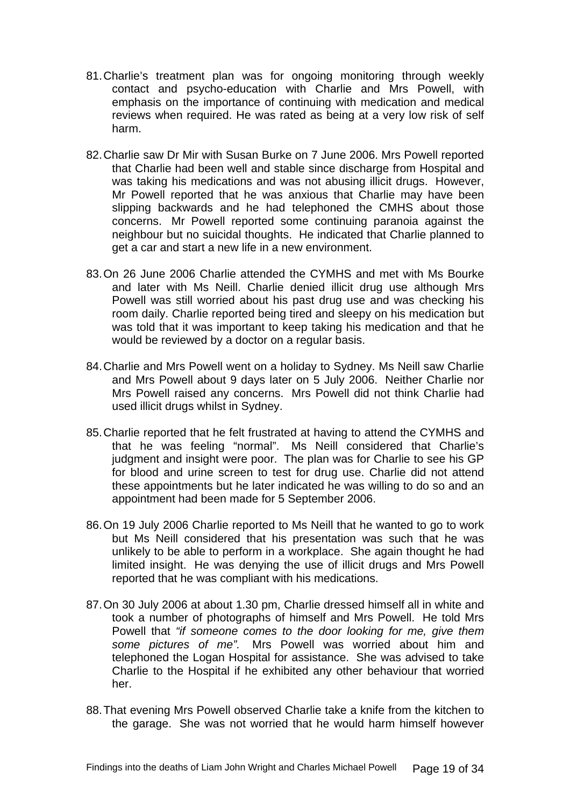- 81. Charlie's treatment plan was for ongoing monitoring through weekly contact and psycho-education with Charlie and Mrs Powell, with emphasis on the importance of continuing with medication and medical reviews when required. He was rated as being at a very low risk of self harm.
- 82. Charlie saw Dr Mir with Susan Burke on 7 June 2006. Mrs Powell reported that Charlie had been well and stable since discharge from Hospital and was taking his medications and was not abusing illicit drugs. However, Mr Powell reported that he was anxious that Charlie may have been slipping backwards and he had telephoned the CMHS about those concerns. Mr Powell reported some continuing paranoia against the neighbour but no suicidal thoughts. He indicated that Charlie planned to get a car and start a new life in a new environment.
- 83. On 26 June 2006 Charlie attended the CYMHS and met with Ms Bourke and later with Ms Neill. Charlie denied illicit drug use although Mrs Powell was still worried about his past drug use and was checking his room daily. Charlie reported being tired and sleepy on his medication but was told that it was important to keep taking his medication and that he would be reviewed by a doctor on a regular basis.
- 84. Charlie and Mrs Powell went on a holiday to Sydney. Ms Neill saw Charlie and Mrs Powell about 9 days later on 5 July 2006. Neither Charlie nor Mrs Powell raised any concerns. Mrs Powell did not think Charlie had used illicit drugs whilst in Sydney.
- 85. Charlie reported that he felt frustrated at having to attend the CYMHS and that he was feeling "normal". Ms Neill considered that Charlie's judgment and insight were poor. The plan was for Charlie to see his GP for blood and urine screen to test for drug use. Charlie did not attend these appointments but he later indicated he was willing to do so and an appointment had been made for 5 September 2006.
- 86. On 19 July 2006 Charlie reported to Ms Neill that he wanted to go to work but Ms Neill considered that his presentation was such that he was unlikely to be able to perform in a workplace. She again thought he had limited insight. He was denying the use of illicit drugs and Mrs Powell reported that he was compliant with his medications.
- 87. On 30 July 2006 at about 1.30 pm, Charlie dressed himself all in white and took a number of photographs of himself and Mrs Powell. He told Mrs Powell that *"if someone comes to the door looking for me, give them some pictures of me".* Mrs Powell was worried about him and telephoned the Logan Hospital for assistance. She was advised to take Charlie to the Hospital if he exhibited any other behaviour that worried her.
- 88. That evening Mrs Powell observed Charlie take a knife from the kitchen to the garage. She was not worried that he would harm himself however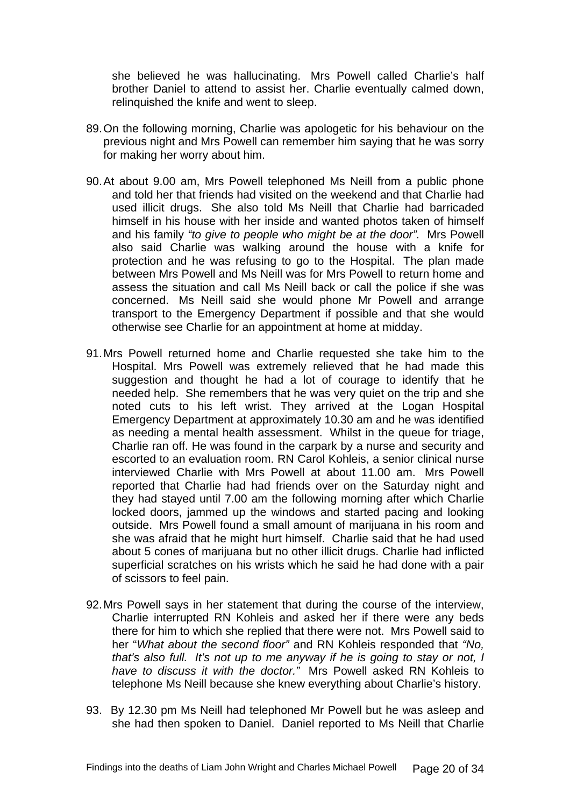she believed he was hallucinating. Mrs Powell called Charlie's half brother Daniel to attend to assist her. Charlie eventually calmed down, relinquished the knife and went to sleep.

- 89. On the following morning, Charlie was apologetic for his behaviour on the previous night and Mrs Powell can remember him saying that he was sorry for making her worry about him.
- 90. At about 9.00 am, Mrs Powell telephoned Ms Neill from a public phone and told her that friends had visited on the weekend and that Charlie had used illicit drugs. She also told Ms Neill that Charlie had barricaded himself in his house with her inside and wanted photos taken of himself and his family *"to give to people who might be at the door".* Mrs Powell also said Charlie was walking around the house with a knife for protection and he was refusing to go to the Hospital. The plan made between Mrs Powell and Ms Neill was for Mrs Powell to return home and assess the situation and call Ms Neill back or call the police if she was concerned. Ms Neill said she would phone Mr Powell and arrange transport to the Emergency Department if possible and that she would otherwise see Charlie for an appointment at home at midday.
- 91. Mrs Powell returned home and Charlie requested she take him to the Hospital. Mrs Powell was extremely relieved that he had made this suggestion and thought he had a lot of courage to identify that he needed help. She remembers that he was very quiet on the trip and she noted cuts to his left wrist. They arrived at the Logan Hospital Emergency Department at approximately 10.30 am and he was identified as needing a mental health assessment. Whilst in the queue for triage, Charlie ran off. He was found in the carpark by a nurse and security and escorted to an evaluation room. RN Carol Kohleis, a senior clinical nurse interviewed Charlie with Mrs Powell at about 11.00 am. Mrs Powell reported that Charlie had had friends over on the Saturday night and they had stayed until 7.00 am the following morning after which Charlie locked doors, jammed up the windows and started pacing and looking outside. Mrs Powell found a small amount of marijuana in his room and she was afraid that he might hurt himself. Charlie said that he had used about 5 cones of marijuana but no other illicit drugs. Charlie had inflicted superficial scratches on his wrists which he said he had done with a pair of scissors to feel pain.
- 92. Mrs Powell says in her statement that during the course of the interview, Charlie interrupted RN Kohleis and asked her if there were any beds there for him to which she replied that there were not. Mrs Powell said to her "*What about the second floor"* and RN Kohleis responded that *"No, that's also full. It's not up to me anyway if he is going to stay or not, I have to discuss it with the doctor."* Mrs Powell asked RN Kohleis to telephone Ms Neill because she knew everything about Charlie's history.
- 93. By 12.30 pm Ms Neill had telephoned Mr Powell but he was asleep and she had then spoken to Daniel. Daniel reported to Ms Neill that Charlie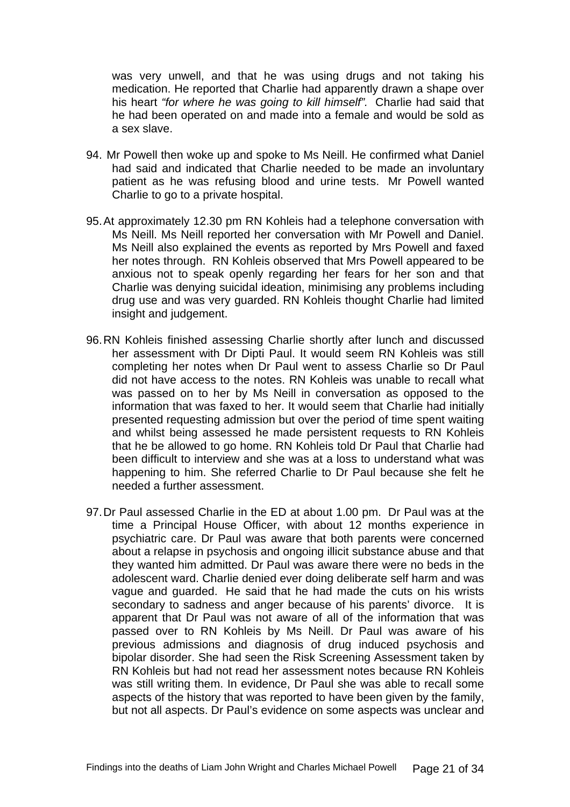was very unwell, and that he was using drugs and not taking his medication. He reported that Charlie had apparently drawn a shape over his heart *"for where he was going to kill himself".* Charlie had said that he had been operated on and made into a female and would be sold as a sex slave.

- 94. Mr Powell then woke up and spoke to Ms Neill. He confirmed what Daniel had said and indicated that Charlie needed to be made an involuntary patient as he was refusing blood and urine tests. Mr Powell wanted Charlie to go to a private hospital.
- 95. At approximately 12.30 pm RN Kohleis had a telephone conversation with Ms Neill. Ms Neill reported her conversation with Mr Powell and Daniel. Ms Neill also explained the events as reported by Mrs Powell and faxed her notes through. RN Kohleis observed that Mrs Powell appeared to be anxious not to speak openly regarding her fears for her son and that Charlie was denying suicidal ideation, minimising any problems including drug use and was very guarded. RN Kohleis thought Charlie had limited insight and judgement.
- 96. RN Kohleis finished assessing Charlie shortly after lunch and discussed her assessment with Dr Dipti Paul. It would seem RN Kohleis was still completing her notes when Dr Paul went to assess Charlie so Dr Paul did not have access to the notes. RN Kohleis was unable to recall what was passed on to her by Ms Neill in conversation as opposed to the information that was faxed to her. It would seem that Charlie had initially presented requesting admission but over the period of time spent waiting and whilst being assessed he made persistent requests to RN Kohleis that he be allowed to go home. RN Kohleis told Dr Paul that Charlie had been difficult to interview and she was at a loss to understand what was happening to him. She referred Charlie to Dr Paul because she felt he needed a further assessment.
- 97. Dr Paul assessed Charlie in the ED at about 1.00 pm. Dr Paul was at the time a Principal House Officer, with about 12 months experience in psychiatric care. Dr Paul was aware that both parents were concerned about a relapse in psychosis and ongoing illicit substance abuse and that they wanted him admitted. Dr Paul was aware there were no beds in the adolescent ward. Charlie denied ever doing deliberate self harm and was vague and guarded. He said that he had made the cuts on his wrists secondary to sadness and anger because of his parents' divorce. It is apparent that Dr Paul was not aware of all of the information that was passed over to RN Kohleis by Ms Neill. Dr Paul was aware of his previous admissions and diagnosis of drug induced psychosis and bipolar disorder. She had seen the Risk Screening Assessment taken by RN Kohleis but had not read her assessment notes because RN Kohleis was still writing them. In evidence, Dr Paul she was able to recall some aspects of the history that was reported to have been given by the family, but not all aspects. Dr Paul's evidence on some aspects was unclear and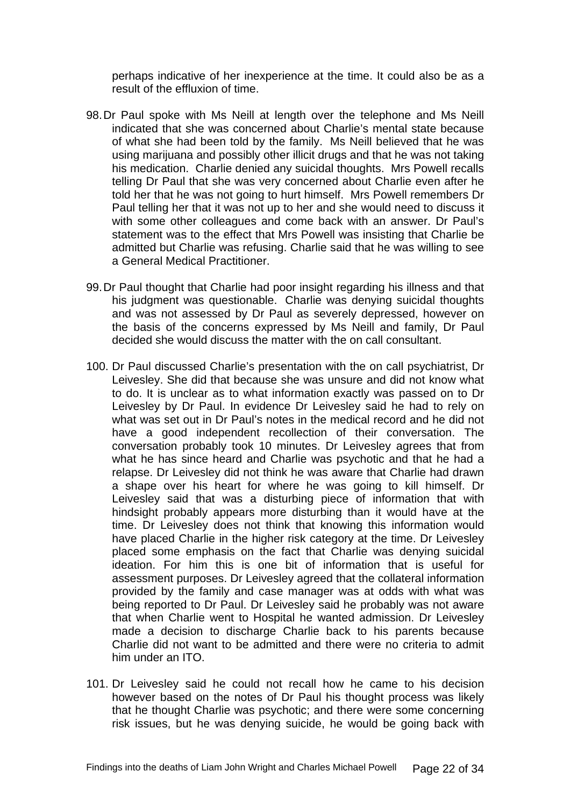perhaps indicative of her inexperience at the time. It could also be as a result of the effluxion of time.

- 98. Dr Paul spoke with Ms Neill at length over the telephone and Ms Neill indicated that she was concerned about Charlie's mental state because of what she had been told by the family. Ms Neill believed that he was using marijuana and possibly other illicit drugs and that he was not taking his medication. Charlie denied any suicidal thoughts. Mrs Powell recalls telling Dr Paul that she was very concerned about Charlie even after he told her that he was not going to hurt himself. Mrs Powell remembers Dr Paul telling her that it was not up to her and she would need to discuss it with some other colleagues and come back with an answer. Dr Paul's statement was to the effect that Mrs Powell was insisting that Charlie be admitted but Charlie was refusing. Charlie said that he was willing to see a General Medical Practitioner.
- 99. Dr Paul thought that Charlie had poor insight regarding his illness and that his judgment was questionable. Charlie was denying suicidal thoughts and was not assessed by Dr Paul as severely depressed, however on the basis of the concerns expressed by Ms Neill and family, Dr Paul decided she would discuss the matter with the on call consultant.
- 100. Dr Paul discussed Charlie's presentation with the on call psychiatrist, Dr Leivesley. She did that because she was unsure and did not know what to do. It is unclear as to what information exactly was passed on to Dr Leivesley by Dr Paul. In evidence Dr Leivesley said he had to rely on what was set out in Dr Paul's notes in the medical record and he did not have a good independent recollection of their conversation. The conversation probably took 10 minutes. Dr Leivesley agrees that from what he has since heard and Charlie was psychotic and that he had a relapse. Dr Leivesley did not think he was aware that Charlie had drawn a shape over his heart for where he was going to kill himself. Dr Leivesley said that was a disturbing piece of information that with hindsight probably appears more disturbing than it would have at the time. Dr Leivesley does not think that knowing this information would have placed Charlie in the higher risk category at the time. Dr Leivesley placed some emphasis on the fact that Charlie was denying suicidal ideation. For him this is one bit of information that is useful for assessment purposes. Dr Leivesley agreed that the collateral information provided by the family and case manager was at odds with what was being reported to Dr Paul. Dr Leivesley said he probably was not aware that when Charlie went to Hospital he wanted admission. Dr Leivesley made a decision to discharge Charlie back to his parents because Charlie did not want to be admitted and there were no criteria to admit him under an ITO.
- 101. Dr Leivesley said he could not recall how he came to his decision however based on the notes of Dr Paul his thought process was likely that he thought Charlie was psychotic; and there were some concerning risk issues, but he was denying suicide, he would be going back with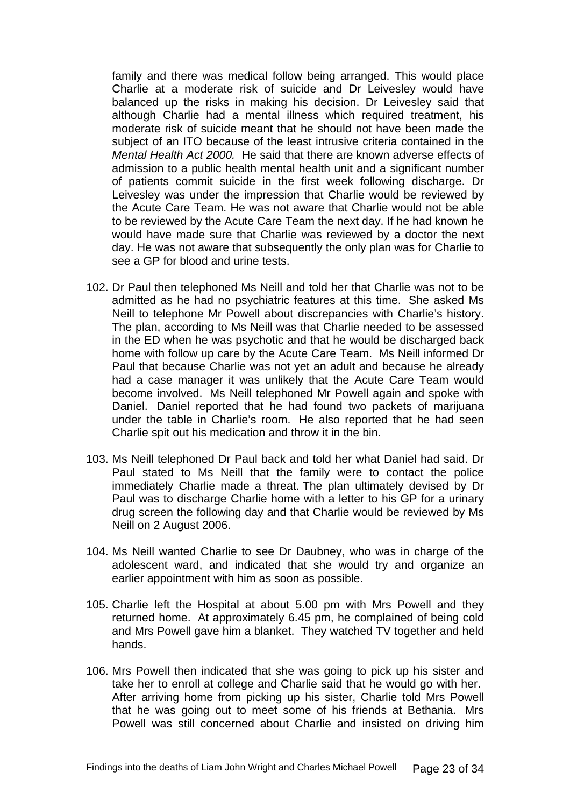family and there was medical follow being arranged. This would place Charlie at a moderate risk of suicide and Dr Leivesley would have balanced up the risks in making his decision. Dr Leivesley said that although Charlie had a mental illness which required treatment, his moderate risk of suicide meant that he should not have been made the subject of an ITO because of the least intrusive criteria contained in the *Mental Health Act 2000.* He said that there are known adverse effects of admission to a public health mental health unit and a significant number of patients commit suicide in the first week following discharge. Dr Leivesley was under the impression that Charlie would be reviewed by the Acute Care Team. He was not aware that Charlie would not be able to be reviewed by the Acute Care Team the next day. If he had known he would have made sure that Charlie was reviewed by a doctor the next day. He was not aware that subsequently the only plan was for Charlie to see a GP for blood and urine tests.

- 102. Dr Paul then telephoned Ms Neill and told her that Charlie was not to be admitted as he had no psychiatric features at this time. She asked Ms Neill to telephone Mr Powell about discrepancies with Charlie's history. The plan, according to Ms Neill was that Charlie needed to be assessed in the ED when he was psychotic and that he would be discharged back home with follow up care by the Acute Care Team. Ms Neill informed Dr Paul that because Charlie was not yet an adult and because he already had a case manager it was unlikely that the Acute Care Team would become involved. Ms Neill telephoned Mr Powell again and spoke with Daniel. Daniel reported that he had found two packets of marijuana under the table in Charlie's room. He also reported that he had seen Charlie spit out his medication and throw it in the bin.
- 103. Ms Neill telephoned Dr Paul back and told her what Daniel had said. Dr Paul stated to Ms Neill that the family were to contact the police immediately Charlie made a threat. The plan ultimately devised by Dr Paul was to discharge Charlie home with a letter to his GP for a urinary drug screen the following day and that Charlie would be reviewed by Ms Neill on 2 August 2006.
- 104. Ms Neill wanted Charlie to see Dr Daubney, who was in charge of the adolescent ward, and indicated that she would try and organize an earlier appointment with him as soon as possible.
- 105. Charlie left the Hospital at about 5.00 pm with Mrs Powell and they returned home. At approximately 6.45 pm, he complained of being cold and Mrs Powell gave him a blanket. They watched TV together and held hands.
- 106. Mrs Powell then indicated that she was going to pick up his sister and take her to enroll at college and Charlie said that he would go with her. After arriving home from picking up his sister, Charlie told Mrs Powell that he was going out to meet some of his friends at Bethania. Mrs Powell was still concerned about Charlie and insisted on driving him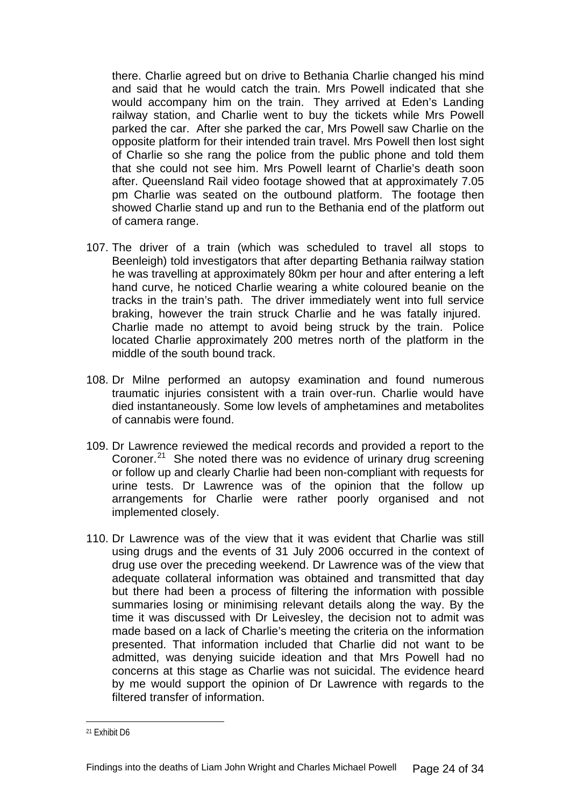there. Charlie agreed but on drive to Bethania Charlie changed his mind and said that he would catch the train. Mrs Powell indicated that she would accompany him on the train. They arrived at Eden's Landing railway station, and Charlie went to buy the tickets while Mrs Powell parked the car. After she parked the car, Mrs Powell saw Charlie on the opposite platform for their intended train travel. Mrs Powell then lost sight of Charlie so she rang the police from the public phone and told them that she could not see him. Mrs Powell learnt of Charlie's death soon after. Queensland Rail video footage showed that at approximately 7.05 pm Charlie was seated on the outbound platform. The footage then showed Charlie stand up and run to the Bethania end of the platform out of camera range.

- 107. The driver of a train (which was scheduled to travel all stops to Beenleigh) told investigators that after departing Bethania railway station he was travelling at approximately 80km per hour and after entering a left hand curve, he noticed Charlie wearing a white coloured beanie on the tracks in the train's path. The driver immediately went into full service braking, however the train struck Charlie and he was fatally injured. Charlie made no attempt to avoid being struck by the train. Police located Charlie approximately 200 metres north of the platform in the middle of the south bound track.
- 108. Dr Milne performed an autopsy examination and found numerous traumatic injuries consistent with a train over-run. Charlie would have died instantaneously. Some low levels of amphetamines and metabolites of cannabis were found.
- 109. Dr Lawrence reviewed the medical records and provided a report to the Coroner. $21$  She noted there was no evidence of urinary drug screening or follow up and clearly Charlie had been non-compliant with requests for urine tests. Dr Lawrence was of the opinion that the follow up arrangements for Charlie were rather poorly organised and not implemented closely.
- 110. Dr Lawrence was of the view that it was evident that Charlie was still using drugs and the events of 31 July 2006 occurred in the context of drug use over the preceding weekend. Dr Lawrence was of the view that adequate collateral information was obtained and transmitted that day but there had been a process of filtering the information with possible summaries losing or minimising relevant details along the way. By the time it was discussed with Dr Leivesley, the decision not to admit was made based on a lack of Charlie's meeting the criteria on the information presented. That information included that Charlie did not want to be admitted, was denying suicide ideation and that Mrs Powell had no concerns at this stage as Charlie was not suicidal. The evidence heard by me would support the opinion of Dr Lawrence with regards to the filtered transfer of information.

<span id="page-23-0"></span><sup>21</sup> Exhibit D6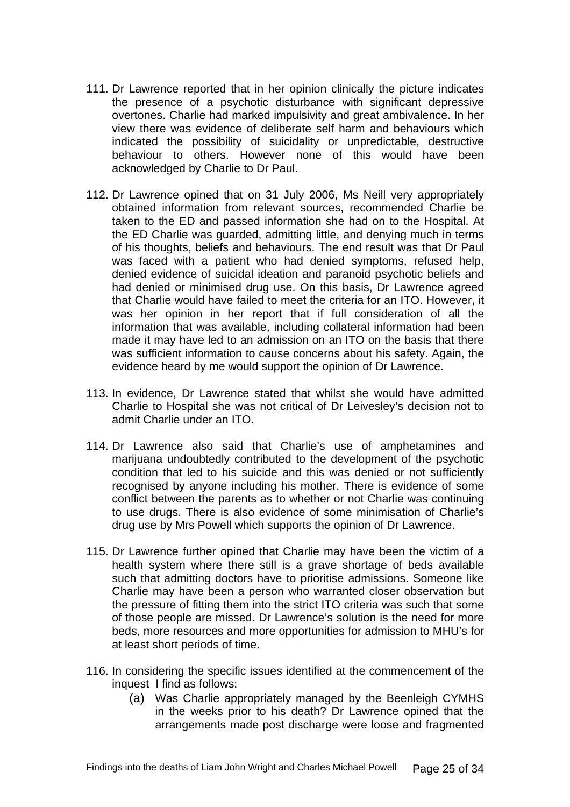- 111. Dr Lawrence reported that in her opinion clinically the picture indicates the presence of a psychotic disturbance with significant depressive overtones. Charlie had marked impulsivity and great ambivalence. In her view there was evidence of deliberate self harm and behaviours which indicated the possibility of suicidality or unpredictable, destructive behaviour to others. However none of this would have been acknowledged by Charlie to Dr Paul.
- 112. Dr Lawrence opined that on 31 July 2006, Ms Neill very appropriately obtained information from relevant sources, recommended Charlie be taken to the ED and passed information she had on to the Hospital. At the ED Charlie was guarded, admitting little, and denying much in terms of his thoughts, beliefs and behaviours. The end result was that Dr Paul was faced with a patient who had denied symptoms, refused help, denied evidence of suicidal ideation and paranoid psychotic beliefs and had denied or minimised drug use. On this basis, Dr Lawrence agreed that Charlie would have failed to meet the criteria for an ITO. However, it was her opinion in her report that if full consideration of all the information that was available, including collateral information had been made it may have led to an admission on an ITO on the basis that there was sufficient information to cause concerns about his safety. Again, the evidence heard by me would support the opinion of Dr Lawrence.
- 113. In evidence, Dr Lawrence stated that whilst she would have admitted Charlie to Hospital she was not critical of Dr Leivesley's decision not to admit Charlie under an ITO.
- 114. Dr Lawrence also said that Charlie's use of amphetamines and marijuana undoubtedly contributed to the development of the psychotic condition that led to his suicide and this was denied or not sufficiently recognised by anyone including his mother. There is evidence of some conflict between the parents as to whether or not Charlie was continuing to use drugs. There is also evidence of some minimisation of Charlie's drug use by Mrs Powell which supports the opinion of Dr Lawrence.
- 115. Dr Lawrence further opined that Charlie may have been the victim of a health system where there still is a grave shortage of beds available such that admitting doctors have to prioritise admissions. Someone like Charlie may have been a person who warranted closer observation but the pressure of fitting them into the strict ITO criteria was such that some of those people are missed. Dr Lawrence's solution is the need for more beds, more resources and more opportunities for admission to MHU's for at least short periods of time.
- 116. In considering the specific issues identified at the commencement of the inquest I find as follows:
	- (a) Was Charlie appropriately managed by the Beenleigh CYMHS in the weeks prior to his death? Dr Lawrence opined that the arrangements made post discharge were loose and fragmented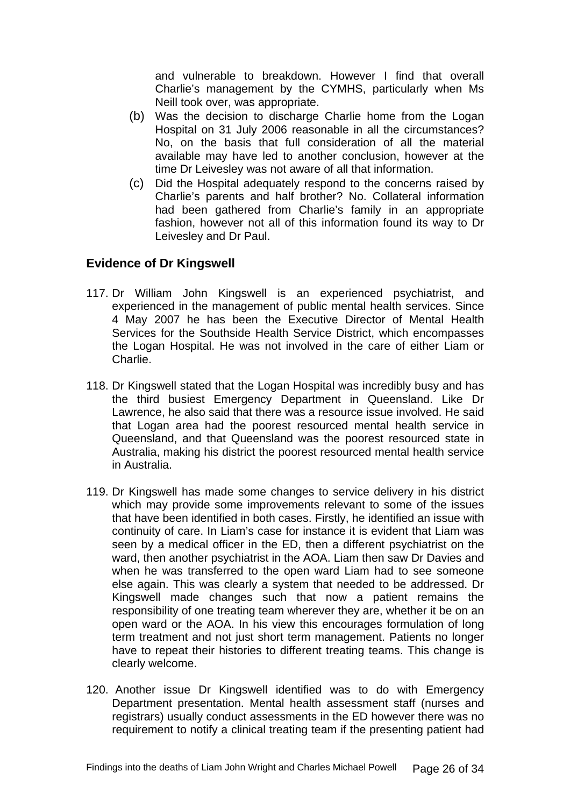and vulnerable to breakdown. However I find that overall Charlie's management by the CYMHS, particularly when Ms Neill took over, was appropriate.

- (b) Was the decision to discharge Charlie home from the Logan Hospital on 31 July 2006 reasonable in all the circumstances? No, on the basis that full consideration of all the material available may have led to another conclusion, however at the time Dr Leivesley was not aware of all that information.
- (c) Did the Hospital adequately respond to the concerns raised by Charlie's parents and half brother? No. Collateral information had been gathered from Charlie's family in an appropriate fashion, however not all of this information found its way to Dr Leivesley and Dr Paul.

## **Evidence of Dr Kingswell**

- 117. Dr William John Kingswell is an experienced psychiatrist, and experienced in the management of public mental health services. Since 4 May 2007 he has been the Executive Director of Mental Health Services for the Southside Health Service District, which encompasses the Logan Hospital. He was not involved in the care of either Liam or Charlie.
- 118. Dr Kingswell stated that the Logan Hospital was incredibly busy and has the third busiest Emergency Department in Queensland. Like Dr Lawrence, he also said that there was a resource issue involved. He said that Logan area had the poorest resourced mental health service in Queensland, and that Queensland was the poorest resourced state in Australia, making his district the poorest resourced mental health service in Australia.
- 119. Dr Kingswell has made some changes to service delivery in his district which may provide some improvements relevant to some of the issues that have been identified in both cases. Firstly, he identified an issue with continuity of care. In Liam's case for instance it is evident that Liam was seen by a medical officer in the ED, then a different psychiatrist on the ward, then another psychiatrist in the AOA. Liam then saw Dr Davies and when he was transferred to the open ward Liam had to see someone else again. This was clearly a system that needed to be addressed. Dr Kingswell made changes such that now a patient remains the responsibility of one treating team wherever they are, whether it be on an open ward or the AOA. In his view this encourages formulation of long term treatment and not just short term management. Patients no longer have to repeat their histories to different treating teams. This change is clearly welcome.
- 120. Another issue Dr Kingswell identified was to do with Emergency Department presentation. Mental health assessment staff (nurses and registrars) usually conduct assessments in the ED however there was no requirement to notify a clinical treating team if the presenting patient had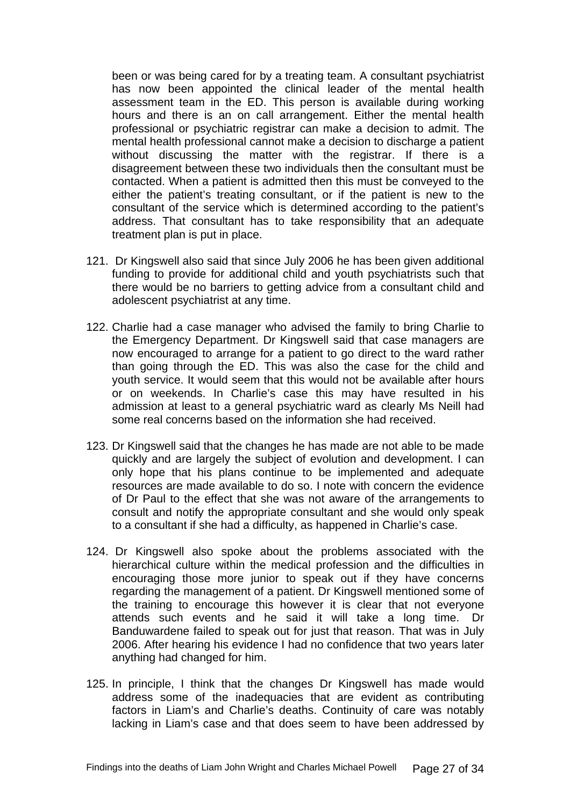been or was being cared for by a treating team. A consultant psychiatrist has now been appointed the clinical leader of the mental health assessment team in the ED. This person is available during working hours and there is an on call arrangement. Either the mental health professional or psychiatric registrar can make a decision to admit. The mental health professional cannot make a decision to discharge a patient without discussing the matter with the registrar. If there is a disagreement between these two individuals then the consultant must be contacted. When a patient is admitted then this must be conveyed to the either the patient's treating consultant, or if the patient is new to the consultant of the service which is determined according to the patient's address. That consultant has to take responsibility that an adequate treatment plan is put in place.

- 121. Dr Kingswell also said that since July 2006 he has been given additional funding to provide for additional child and youth psychiatrists such that there would be no barriers to getting advice from a consultant child and adolescent psychiatrist at any time.
- 122. Charlie had a case manager who advised the family to bring Charlie to the Emergency Department. Dr Kingswell said that case managers are now encouraged to arrange for a patient to go direct to the ward rather than going through the ED. This was also the case for the child and youth service. It would seem that this would not be available after hours or on weekends. In Charlie's case this may have resulted in his admission at least to a general psychiatric ward as clearly Ms Neill had some real concerns based on the information she had received.
- 123. Dr Kingswell said that the changes he has made are not able to be made quickly and are largely the subject of evolution and development. I can only hope that his plans continue to be implemented and adequate resources are made available to do so. I note with concern the evidence of Dr Paul to the effect that she was not aware of the arrangements to consult and notify the appropriate consultant and she would only speak to a consultant if she had a difficulty, as happened in Charlie's case.
- 124. Dr Kingswell also spoke about the problems associated with the hierarchical culture within the medical profession and the difficulties in encouraging those more junior to speak out if they have concerns regarding the management of a patient. Dr Kingswell mentioned some of the training to encourage this however it is clear that not everyone attends such events and he said it will take a long time. Dr Banduwardene failed to speak out for just that reason. That was in July 2006. After hearing his evidence I had no confidence that two years later anything had changed for him.
- 125. In principle, I think that the changes Dr Kingswell has made would address some of the inadequacies that are evident as contributing factors in Liam's and Charlie's deaths. Continuity of care was notably lacking in Liam's case and that does seem to have been addressed by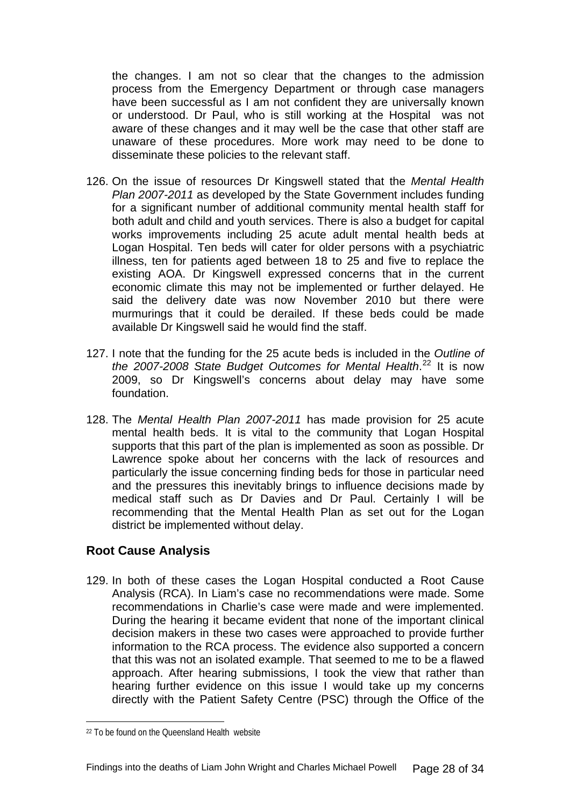the changes. I am not so clear that the changes to the admission process from the Emergency Department or through case managers have been successful as I am not confident they are universally known or understood. Dr Paul, who is still working at the Hospital was not aware of these changes and it may well be the case that other staff are unaware of these procedures. More work may need to be done to disseminate these policies to the relevant staff.

- 126. On the issue of resources Dr Kingswell stated that the *Mental Health Plan 2007-2011* as developed by the State Government includes funding for a significant number of additional community mental health staff for both adult and child and youth services. There is also a budget for capital works improvements including 25 acute adult mental health beds at Logan Hospital. Ten beds will cater for older persons with a psychiatric illness, ten for patients aged between 18 to 25 and five to replace the existing AOA. Dr Kingswell expressed concerns that in the current economic climate this may not be implemented or further delayed. He said the delivery date was now November 2010 but there were murmurings that it could be derailed. If these beds could be made available Dr Kingswell said he would find the staff.
- 127. I note that the funding for the 25 acute beds is included in the *Outline of the 2007-2008 State Budget Outcomes for Mental Health*. [22](#page-27-0) It is now 2009, so Dr Kingswell's concerns about delay may have some foundation.
- 128. The *Mental Health Plan 2007-2011* has made provision for 25 acute mental health beds. It is vital to the community that Logan Hospital supports that this part of the plan is implemented as soon as possible. Dr Lawrence spoke about her concerns with the lack of resources and particularly the issue concerning finding beds for those in particular need and the pressures this inevitably brings to influence decisions made by medical staff such as Dr Davies and Dr Paul. Certainly I will be recommending that the Mental Health Plan as set out for the Logan district be implemented without delay.

# **Root Cause Analysis**

129. In both of these cases the Logan Hospital conducted a Root Cause Analysis (RCA). In Liam's case no recommendations were made. Some recommendations in Charlie's case were made and were implemented. During the hearing it became evident that none of the important clinical decision makers in these two cases were approached to provide further information to the RCA process. The evidence also supported a concern that this was not an isolated example. That seemed to me to be a flawed approach. After hearing submissions, I took the view that rather than hearing further evidence on this issue I would take up my concerns directly with the Patient Safety Centre (PSC) through the Office of the

<span id="page-27-0"></span><sup>22</sup> To be found on the Queensland Health website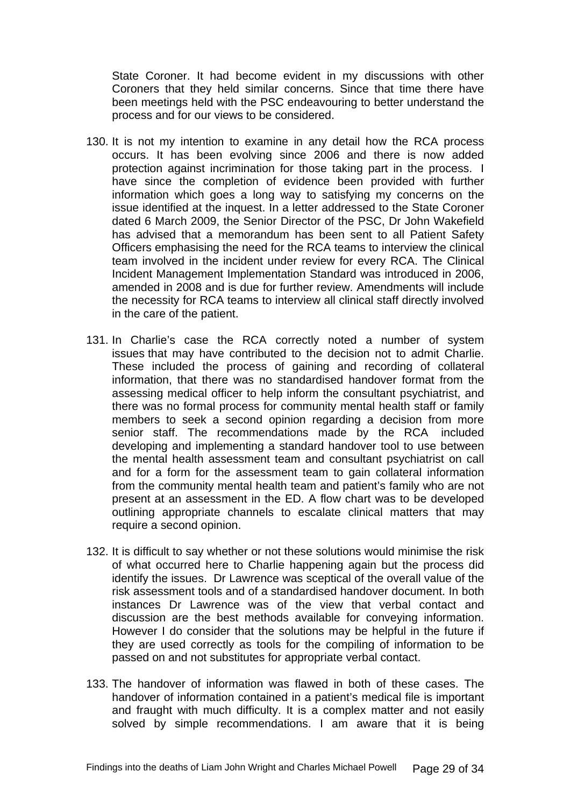State Coroner. It had become evident in my discussions with other Coroners that they held similar concerns. Since that time there have been meetings held with the PSC endeavouring to better understand the process and for our views to be considered.

- 130. It is not my intention to examine in any detail how the RCA process occurs. It has been evolving since 2006 and there is now added protection against incrimination for those taking part in the process. I have since the completion of evidence been provided with further information which goes a long way to satisfying my concerns on the issue identified at the inquest. In a letter addressed to the State Coroner dated 6 March 2009, the Senior Director of the PSC, Dr John Wakefield has advised that a memorandum has been sent to all Patient Safety Officers emphasising the need for the RCA teams to interview the clinical team involved in the incident under review for every RCA. The Clinical Incident Management Implementation Standard was introduced in 2006, amended in 2008 and is due for further review. Amendments will include the necessity for RCA teams to interview all clinical staff directly involved in the care of the patient.
- 131. In Charlie's case the RCA correctly noted a number of system issues that may have contributed to the decision not to admit Charlie. These included the process of gaining and recording of collateral information, that there was no standardised handover format from the assessing medical officer to help inform the consultant psychiatrist, and there was no formal process for community mental health staff or family members to seek a second opinion regarding a decision from more senior staff. The recommendations made by the RCA included developing and implementing a standard handover tool to use between the mental health assessment team and consultant psychiatrist on call and for a form for the assessment team to gain collateral information from the community mental health team and patient's family who are not present at an assessment in the ED. A flow chart was to be developed outlining appropriate channels to escalate clinical matters that may require a second opinion.
- 132. It is difficult to say whether or not these solutions would minimise the risk of what occurred here to Charlie happening again but the process did identify the issues. Dr Lawrence was sceptical of the overall value of the risk assessment tools and of a standardised handover document. In both instances Dr Lawrence was of the view that verbal contact and discussion are the best methods available for conveying information. However I do consider that the solutions may be helpful in the future if they are used correctly as tools for the compiling of information to be passed on and not substitutes for appropriate verbal contact.
- 133. The handover of information was flawed in both of these cases. The handover of information contained in a patient's medical file is important and fraught with much difficulty. It is a complex matter and not easily solved by simple recommendations. I am aware that it is being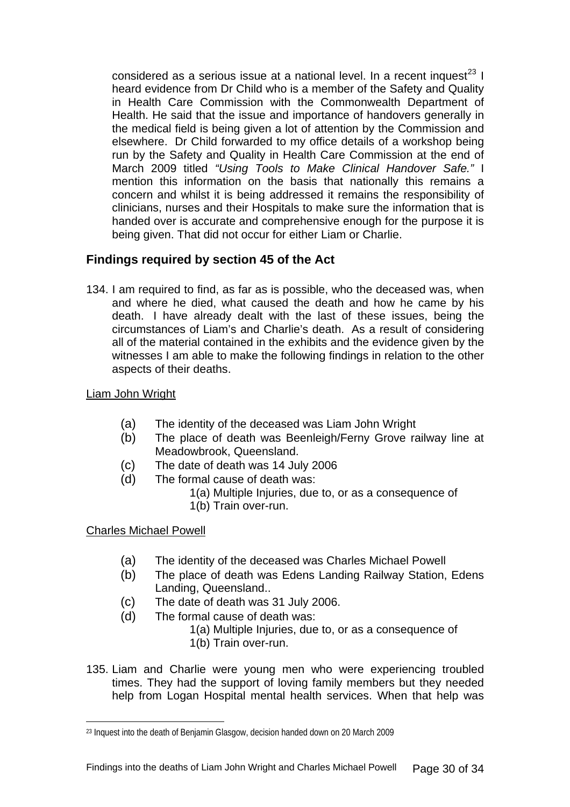considered as a serious issue at a national level. In a recent inquest $^{23}$  $^{23}$  $^{23}$  I heard evidence from Dr Child who is a member of the Safety and Quality in Health Care Commission with the Commonwealth Department of Health. He said that the issue and importance of handovers generally in the medical field is being given a lot of attention by the Commission and elsewhere. Dr Child forwarded to my office details of a workshop being run by the Safety and Quality in Health Care Commission at the end of March 2009 titled *"Using Tools to Make Clinical Handover Safe."* I mention this information on the basis that nationally this remains a concern and whilst it is being addressed it remains the responsibility of clinicians, nurses and their Hospitals to make sure the information that is handed over is accurate and comprehensive enough for the purpose it is being given. That did not occur for either Liam or Charlie.

# **Findings required by section 45 of the Act**

134. I am required to find, as far as is possible, who the deceased was, when and where he died, what caused the death and how he came by his death. I have already dealt with the last of these issues, being the circumstances of Liam's and Charlie's death. As a result of considering all of the material contained in the exhibits and the evidence given by the witnesses I am able to make the following findings in relation to the other aspects of their deaths.

## Liam John Wright

- (a) The identity of the deceased was Liam John Wright
- (b) The place of death was Beenleigh/Ferny Grove railway line at Meadowbrook, Queensland.
- (c) The date of death was 14 July 2006
- (d) The formal cause of death was:
	- 1(a) Multiple Injuries, due to, or as a consequence of 1(b) Train over-run.

## Charles Michael Powell

- (a) The identity of the deceased was Charles Michael Powell
- (b) The place of death was Edens Landing Railway Station, Edens Landing, Queensland..
- (c) The date of death was 31 July 2006.
- (d) The formal cause of death was:
	- 1(a) Multiple Injuries, due to, or as a consequence of
	- 1(b) Train over-run.
- 135. Liam and Charlie were young men who were experiencing troubled times. They had the support of loving family members but they needed help from Logan Hospital mental health services. When that help was

<span id="page-29-0"></span><sup>&</sup>lt;sup>23</sup> Inquest into the death of Benjamin Glasgow, decision handed down on 20 March 2009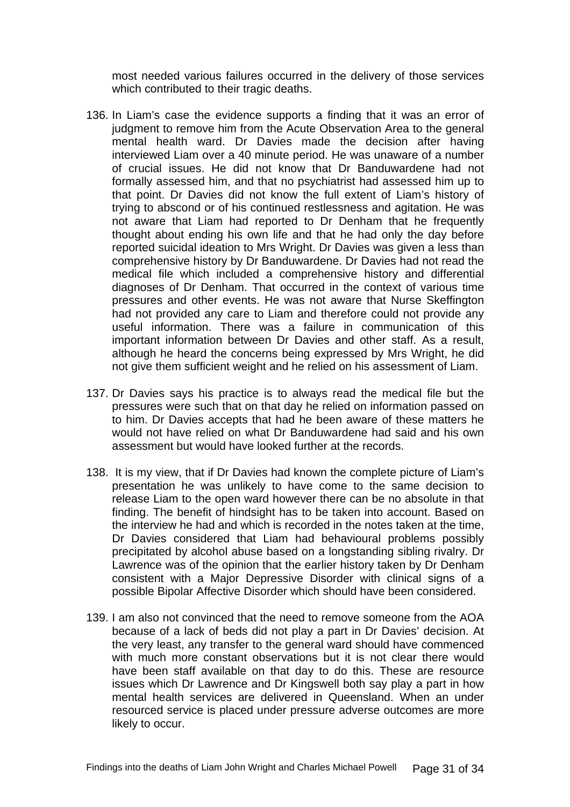most needed various failures occurred in the delivery of those services which contributed to their tragic deaths.

- 136. In Liam's case the evidence supports a finding that it was an error of judgment to remove him from the Acute Observation Area to the general mental health ward. Dr Davies made the decision after having interviewed Liam over a 40 minute period. He was unaware of a number of crucial issues. He did not know that Dr Banduwardene had not formally assessed him, and that no psychiatrist had assessed him up to that point. Dr Davies did not know the full extent of Liam's history of trying to abscond or of his continued restlessness and agitation. He was not aware that Liam had reported to Dr Denham that he frequently thought about ending his own life and that he had only the day before reported suicidal ideation to Mrs Wright. Dr Davies was given a less than comprehensive history by Dr Banduwardene. Dr Davies had not read the medical file which included a comprehensive history and differential diagnoses of Dr Denham. That occurred in the context of various time pressures and other events. He was not aware that Nurse Skeffington had not provided any care to Liam and therefore could not provide any useful information. There was a failure in communication of this important information between Dr Davies and other staff. As a result, although he heard the concerns being expressed by Mrs Wright, he did not give them sufficient weight and he relied on his assessment of Liam.
- 137. Dr Davies says his practice is to always read the medical file but the pressures were such that on that day he relied on information passed on to him. Dr Davies accepts that had he been aware of these matters he would not have relied on what Dr Banduwardene had said and his own assessment but would have looked further at the records.
- 138. It is my view, that if Dr Davies had known the complete picture of Liam's presentation he was unlikely to have come to the same decision to release Liam to the open ward however there can be no absolute in that finding. The benefit of hindsight has to be taken into account. Based on the interview he had and which is recorded in the notes taken at the time, Dr Davies considered that Liam had behavioural problems possibly precipitated by alcohol abuse based on a longstanding sibling rivalry. Dr Lawrence was of the opinion that the earlier history taken by Dr Denham consistent with a Major Depressive Disorder with clinical signs of a possible Bipolar Affective Disorder which should have been considered.
- 139. I am also not convinced that the need to remove someone from the AOA because of a lack of beds did not play a part in Dr Davies' decision. At the very least, any transfer to the general ward should have commenced with much more constant observations but it is not clear there would have been staff available on that day to do this. These are resource issues which Dr Lawrence and Dr Kingswell both say play a part in how mental health services are delivered in Queensland. When an under resourced service is placed under pressure adverse outcomes are more likely to occur.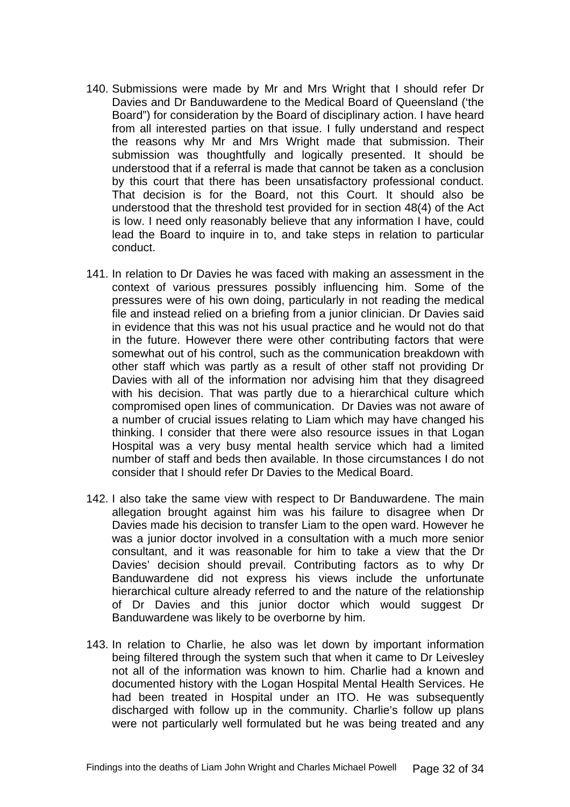- 140. Submissions were made by Mr and Mrs Wright that I should refer Dr Davies and Dr Banduwardene to the Medical Board of Queensland ('the Board") for consideration by the Board of disciplinary action. I have heard from all interested parties on that issue. I fully understand and respect the reasons why Mr and Mrs Wright made that submission. Their submission was thoughtfully and logically presented. It should be understood that if a referral is made that cannot be taken as a conclusion by this court that there has been unsatisfactory professional conduct. That decision is for the Board, not this Court. It should also be understood that the threshold test provided for in section 48(4) of the Act is low. I need only reasonably believe that any information I have, could lead the Board to inquire in to, and take steps in relation to particular conduct.
- 141. In relation to Dr Davies he was faced with making an assessment in the context of various pressures possibly influencing him. Some of the pressures were of his own doing, particularly in not reading the medical file and instead relied on a briefing from a junior clinician. Dr Davies said in evidence that this was not his usual practice and he would not do that in the future. However there were other contributing factors that were somewhat out of his control, such as the communication breakdown with other staff which was partly as a result of other staff not providing Dr Davies with all of the information nor advising him that they disagreed with his decision. That was partly due to a hierarchical culture which compromised open lines of communication. Dr Davies was not aware of a number of crucial issues relating to Liam which may have changed his thinking. I consider that there were also resource issues in that Logan Hospital was a very busy mental health service which had a limited number of staff and beds then available. In those circumstances I do not consider that I should refer Dr Davies to the Medical Board.
- 142. I also take the same view with respect to Dr Banduwardene. The main allegation brought against him was his failure to disagree when Dr Davies made his decision to transfer Liam to the open ward. However he was a junior doctor involved in a consultation with a much more senior consultant, and it was reasonable for him to take a view that the Dr Davies' decision should prevail. Contributing factors as to why Dr Banduwardene did not express his views include the unfortunate hierarchical culture already referred to and the nature of the relationship of Dr Davies and this junior doctor which would suggest Dr Banduwardene was likely to be overborne by him.
- 143. In relation to Charlie, he also was let down by important information being filtered through the system such that when it came to Dr Leivesley not all of the information was known to him. Charlie had a known and documented history with the Logan Hospital Mental Health Services. He had been treated in Hospital under an ITO. He was subsequently discharged with follow up in the community. Charlie's follow up plans were not particularly well formulated but he was being treated and any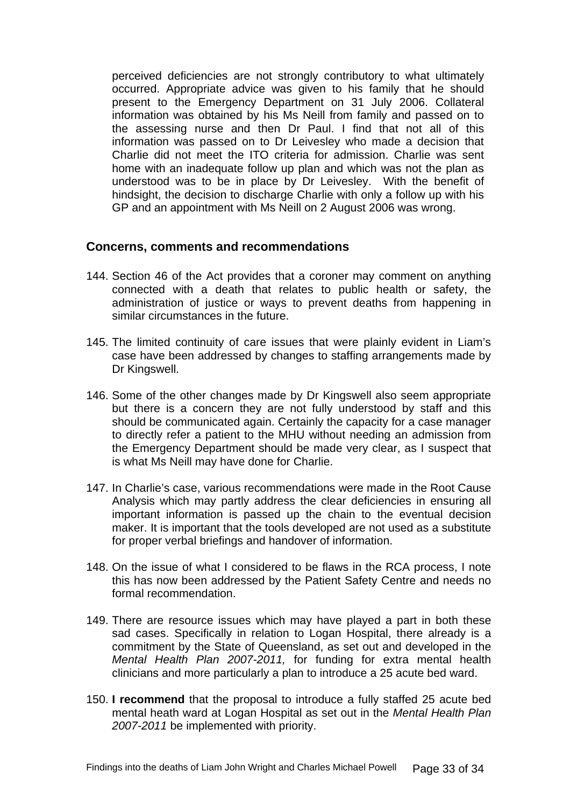perceived deficiencies are not strongly contributory to what ultimately occurred. Appropriate advice was given to his family that he should present to the Emergency Department on 31 July 2006. Collateral information was obtained by his Ms Neill from family and passed on to the assessing nurse and then Dr Paul. I find that not all of this information was passed on to Dr Leivesley who made a decision that Charlie did not meet the ITO criteria for admission. Charlie was sent home with an inadequate follow up plan and which was not the plan as understood was to be in place by Dr Leivesley. With the benefit of hindsight, the decision to discharge Charlie with only a follow up with his GP and an appointment with Ms Neill on 2 August 2006 was wrong.

#### **Concerns, comments and recommendations**

- 144. Section 46 of the Act provides that a coroner may comment on anything connected with a death that relates to public health or safety, the administration of justice or ways to prevent deaths from happening in similar circumstances in the future.
- 145. The limited continuity of care issues that were plainly evident in Liam's case have been addressed by changes to staffing arrangements made by Dr Kingswell.
- 146. Some of the other changes made by Dr Kingswell also seem appropriate but there is a concern they are not fully understood by staff and this should be communicated again. Certainly the capacity for a case manager to directly refer a patient to the MHU without needing an admission from the Emergency Department should be made very clear, as I suspect that is what Ms Neill may have done for Charlie.
- 147. In Charlie's case, various recommendations were made in the Root Cause Analysis which may partly address the clear deficiencies in ensuring all important information is passed up the chain to the eventual decision maker. It is important that the tools developed are not used as a substitute for proper verbal briefings and handover of information.
- 148. On the issue of what I considered to be flaws in the RCA process, I note this has now been addressed by the Patient Safety Centre and needs no formal recommendation.
- 149. There are resource issues which may have played a part in both these sad cases. Specifically in relation to Logan Hospital, there already is a commitment by the State of Queensland, as set out and developed in the *Mental Health Plan 2007-2011,* for funding for extra mental health clinicians and more particularly a plan to introduce a 25 acute bed ward.
- 150. **I recommend** that the proposal to introduce a fully staffed 25 acute bed mental heath ward at Logan Hospital as set out in the *Mental Health Plan 2007-2011* be implemented with priority.